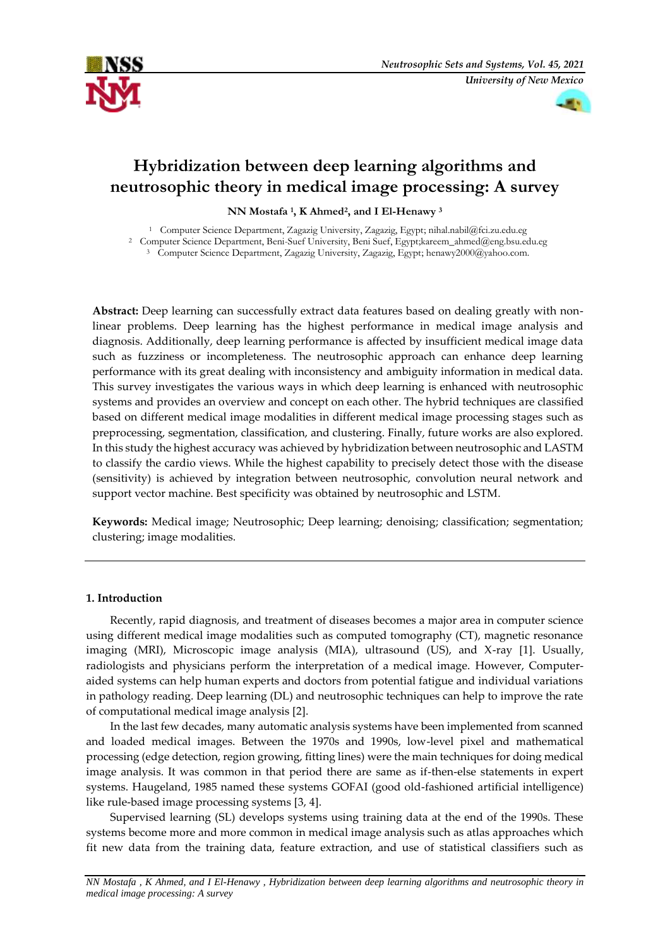



# **Hybridization between deep learning algorithms and neutrosophic theory in medical image processing: A survey**

**NN Mostafa <sup>1</sup> , K Ahmed<sup>2</sup> , and I El-Henawy <sup>3</sup>**

<sup>1</sup> Computer Science Department, Zagazig University, Zagazig, Egypt; nihal.nabil@fci.zu.edu.eg

<sup>2</sup> Computer Science Department, Beni-Suef University, Beni Suef, Egypt;kareem\_ahmed@eng.bsu.edu.eg

<sup>3</sup> Computer Science Department, Zagazig University, Zagazig, Egypt; henawy2000@yahoo.com.

**Abstract:** Deep learning can successfully extract data features based on dealing greatly with nonlinear problems. Deep learning has the highest performance in medical image analysis and diagnosis. Additionally, deep learning performance is affected by insufficient medical image data such as fuzziness or incompleteness. The neutrosophic approach can enhance deep learning performance with its great dealing with inconsistency and ambiguity information in medical data. This survey investigates the various ways in which deep learning is enhanced with neutrosophic systems and provides an overview and concept on each other. The hybrid techniques are classified based on different medical image modalities in different medical image processing stages such as preprocessing, segmentation, classification, and clustering. Finally, future works are also explored. In this study the highest accuracy was achieved by hybridization between neutrosophic and LASTM to classify the cardio views. While the highest capability to precisely detect those with the disease (sensitivity) is achieved by integration between neutrosophic, convolution neural network and support vector machine. Best specificity was obtained by neutrosophic and LSTM.

**Keywords:** Medical image; Neutrosophic; Deep learning; denoising; classification; segmentation; clustering; image modalities.

# **1. Introduction**

Recently, rapid diagnosis, and treatment of diseases becomes a major area in computer science using different medical image modalities such as computed tomography (CT), magnetic resonance imaging (MRI), Microscopic image analysis (MIA), ultrasound (US), and X-ray [1]. Usually, radiologists and physicians perform the interpretation of a medical image. However, Computeraided systems can help human experts and doctors from potential fatigue and individual variations in pathology reading. Deep learning (DL) and neutrosophic techniques can help to improve the rate of computational medical image analysis [2].

In the last few decades, many automatic analysis systems have been implemented from scanned and loaded medical images. Between the 1970s and 1990s, low-level pixel and mathematical processing (edge detection, region growing, fitting lines) were the main techniques for doing medical image analysis. It was common in that period there are same as if-then-else statements in expert systems. Haugeland, 1985 named these systems GOFAI (good old-fashioned artificial intelligence) like rule-based image processing systems [3, 4].

Supervised learning (SL) develops systems using training data at the end of the 1990s. These systems become more and more common in medical image analysis such as atlas approaches which fit new data from the training data, feature extraction, and use of statistical classifiers such as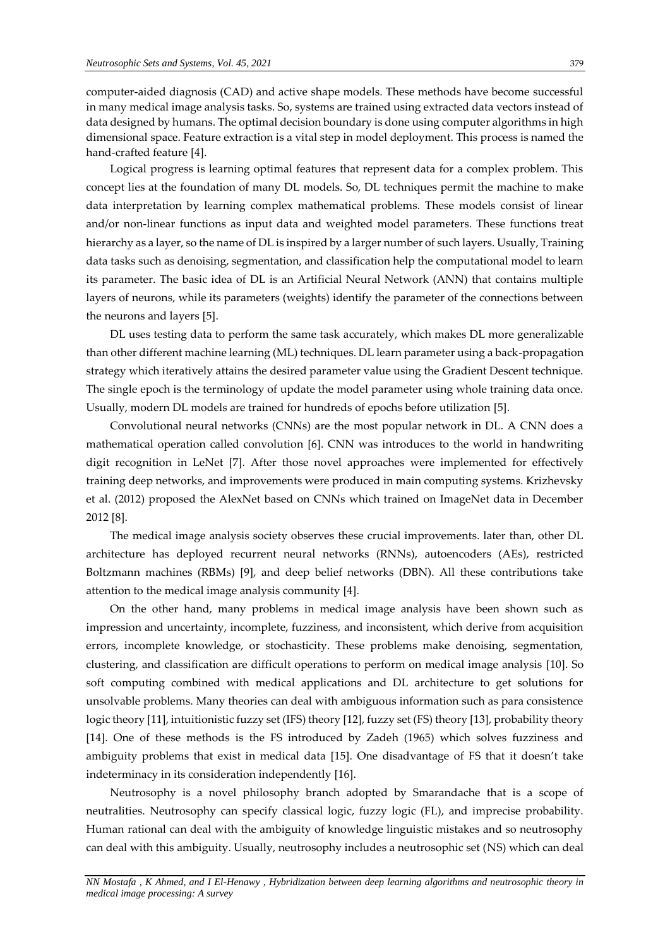computer-aided diagnosis (CAD) and active shape models. These methods have become successful in many medical image analysis tasks. So, systems are trained using extracted data vectors instead of data designed by humans. The optimal decision boundary is done using computer algorithms in high dimensional space. Feature extraction is a vital step in model deployment. This process is named the hand-crafted feature [4].

Logical progress is learning optimal features that represent data for a complex problem. This concept lies at the foundation of many DL models. So, DL techniques permit the machine to make data interpretation by learning complex mathematical problems. These models consist of linear and/or non-linear functions as input data and weighted model parameters. These functions treat hierarchy as a layer, so the name of DL is inspired by a larger number of such layers. Usually, Training data tasks such as denoising, segmentation, and classification help the computational model to learn its parameter. The basic idea of DL is an Artificial Neural Network (ANN) that contains multiple layers of neurons, while its parameters (weights) identify the parameter of the connections between the neurons and layers [5].

DL uses testing data to perform the same task accurately, which makes DL more generalizable than other different machine learning (ML) techniques. DL learn parameter using a back-propagation strategy which iteratively attains the desired parameter value using the Gradient Descent technique. The single epoch is the terminology of update the model parameter using whole training data once. Usually, modern DL models are trained for hundreds of epochs before utilization [5].

Convolutional neural networks (CNNs) are the most popular network in DL. A CNN does a mathematical operation called convolution [6]. CNN was introduces to the world in handwriting digit recognition in LeNet [7]. After those novel approaches were implemented for effectively training deep networks, and improvements were produced in main computing systems. Krizhevsky et al. (2012) proposed the AlexNet based on CNNs which trained on ImageNet data in December 2012 [8].

The medical image analysis society observes these crucial improvements. later than, other DL architecture has deployed recurrent neural networks (RNNs), autoencoders (AEs), restricted Boltzmann machines (RBMs) [9], and deep belief networks (DBN). All these contributions take attention to the medical image analysis community [4].

On the other hand, many problems in medical image analysis have been shown such as impression and uncertainty, incomplete, fuzziness, and inconsistent, which derive from acquisition errors, incomplete knowledge, or stochasticity. These problems make denoising, segmentation, clustering, and classification are difficult operations to perform on medical image analysis [10]. So soft computing combined with medical applications and DL architecture to get solutions for unsolvable problems. Many theories can deal with ambiguous information such as para consistence logic theory [11], intuitionistic fuzzy set (IFS) theory [12], fuzzy set (FS) theory [13], probability theory [14]. One of these methods is the FS introduced by Zadeh (1965) which solves fuzziness and ambiguity problems that exist in medical data [15]. One disadvantage of FS that it doesn't take indeterminacy in its consideration independently [16].

Neutrosophy is a novel philosophy branch adopted by Smarandache that is a scope of neutralities. Neutrosophy can specify classical logic, fuzzy logic (FL), and imprecise probability. Human rational can deal with the ambiguity of knowledge linguistic mistakes and so neutrosophy can deal with this ambiguity. Usually, neutrosophy includes a neutrosophic set (NS) which can deal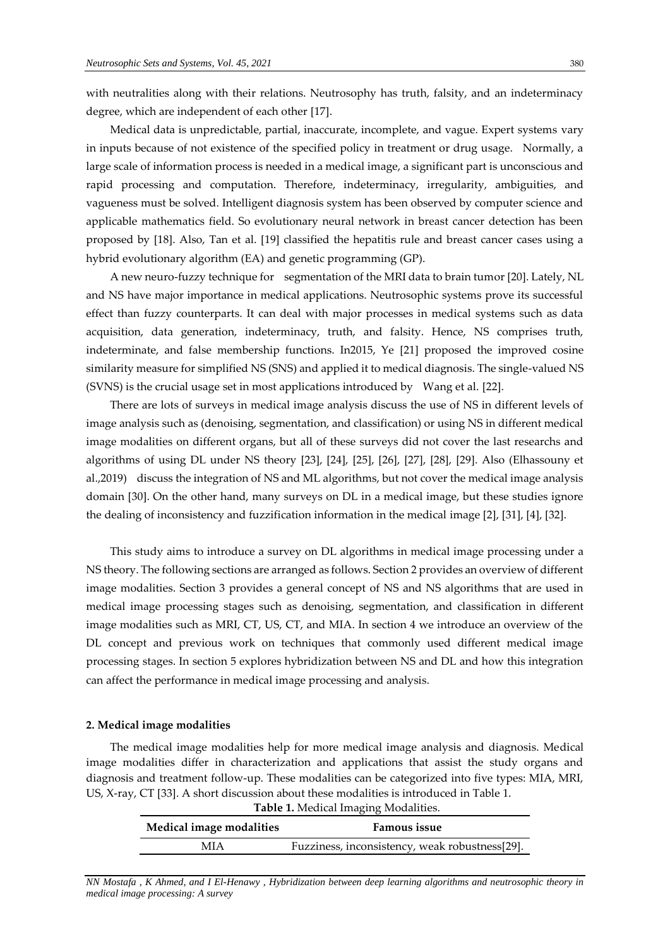with neutralities along with their relations. Neutrosophy has truth, falsity, and an indeterminacy degree, which are independent of each other [17].

Medical data is unpredictable, partial, inaccurate, incomplete, and vague. Expert systems vary in inputs because of not existence of the specified policy in treatment or drug usage. Normally, a large scale of information process is needed in a medical image, a significant part is unconscious and rapid processing and computation. Therefore, indeterminacy, irregularity, ambiguities, and vagueness must be solved. Intelligent diagnosis system has been observed by computer science and applicable mathematics field. So evolutionary neural network in breast cancer detection has been proposed by [18]. Also, Tan et al. [19] classified the hepatitis rule and breast cancer cases using a hybrid evolutionary algorithm (EA) and genetic programming (GP).

A new neuro-fuzzy technique for segmentation of the MRI data to brain tumor [20]. Lately, NL and NS have major importance in medical applications. Neutrosophic systems prove its successful effect than fuzzy counterparts. It can deal with major processes in medical systems such as data acquisition, data generation, indeterminacy, truth, and falsity. Hence, NS comprises truth, indeterminate, and false membership functions. In2015, Ye [21] proposed the improved cosine similarity measure for simplified NS (SNS) and applied it to medical diagnosis. The single-valued NS (SVNS) is the crucial usage set in most applications introduced by Wang et al. [22].

There are lots of surveys in medical image analysis discuss the use of NS in different levels of image analysis such as (denoising, segmentation, and classification) or using NS in different medical image modalities on different organs, but all of these surveys did not cover the last researchs and algorithms of using DL under NS theory [23], [24], [25], [26], [27], [28], [29]. Also (Elhassouny et al.,2019) discuss the integration of NS and ML algorithms, but not cover the medical image analysis domain [30]. On the other hand, many surveys on DL in a medical image, but these studies ignore the dealing of inconsistency and fuzzification information in the medical image [2], [31], [4], [32].

This study aims to introduce a survey on DL algorithms in medical image processing under a NS theory. The following sections are arranged as follows. Section 2 provides an overview of different image modalities. Section 3 provides a general concept of NS and NS algorithms that are used in medical image processing stages such as denoising, segmentation, and classification in different image modalities such as MRI, CT, US, CT, and MIA. In section 4 we introduce an overview of the DL concept and previous work on techniques that commonly used different medical image processing stages. In section 5 explores hybridization between NS and DL and how this integration can affect the performance in medical image processing and analysis.

#### **2. Medical image modalities**

The medical image modalities help for more medical image analysis and diagnosis. Medical image modalities differ in characterization and applications that assist the study organs and diagnosis and treatment follow-up. These modalities can be categorized into five types: MIA, MRI, US, X-ray, CT [33]. A short discussion about these modalities is introduced in Table 1.

| Table 1. Medical Imaging Modalities. |                                                |  |
|--------------------------------------|------------------------------------------------|--|
| Medical image modalities             | <b>Famous issue</b>                            |  |
| MIA                                  | Fuzziness, inconsistency, weak robustness[29]. |  |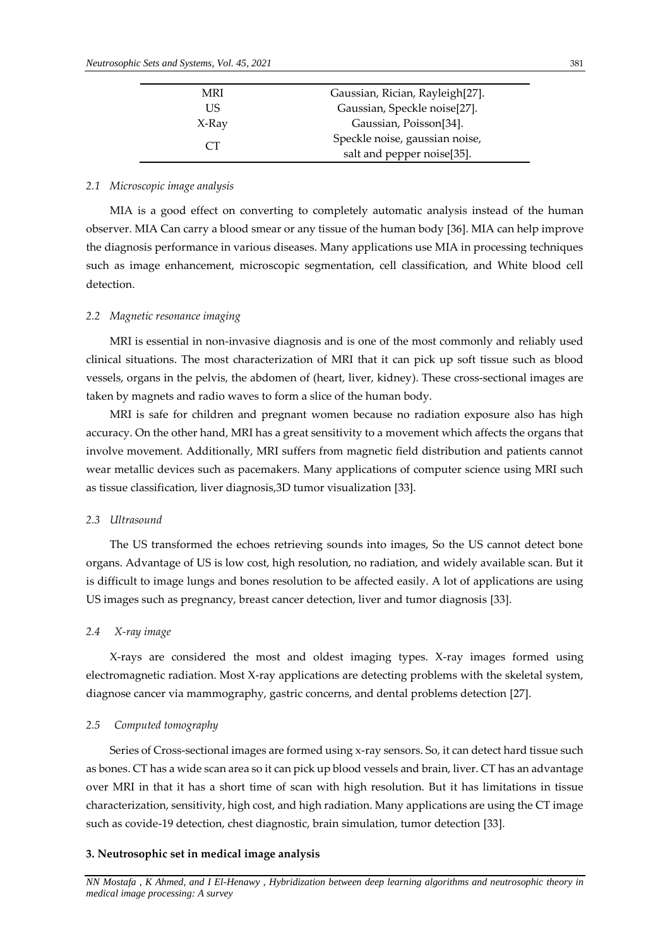| MRI   | Gaussian, Rician, Rayleigh[27]. |
|-------|---------------------------------|
| US.   | Gaussian, Speckle noise[27].    |
| X-Ray | Gaussian, Poisson[34].          |
|       | Speckle noise, gaussian noise,  |
| CT.   | salt and pepper noise[35].      |

## *2.1 Microscopic image analysis*

MIA is a good effect on converting to completely automatic analysis instead of the human observer. MIA Can carry a blood smear or any tissue of the human body [36]. MIA can help improve the diagnosis performance in various diseases. Many applications use MIA in processing techniques such as image enhancement, microscopic segmentation, cell classification, and White blood cell detection.

## *2.2 Magnetic resonance imaging*

MRI is essential in non-invasive diagnosis and is one of the most commonly and reliably used clinical situations. The most characterization of MRI that it can pick up soft tissue such as blood vessels, organs in the pelvis, the abdomen of (heart, liver, kidney). These cross-sectional images are taken by magnets and radio waves to form a slice of the human body.

MRI is safe for children and pregnant women because no radiation exposure also has high accuracy. On the other hand, MRI has a great sensitivity to a movement which affects the organs that involve movement. Additionally, MRI suffers from magnetic field distribution and patients cannot wear metallic devices such as pacemakers. Many applications of computer science using MRI such as tissue classification, liver diagnosis,3D tumor visualization [33].

## *2.3 Ultrasound*

The US transformed the echoes retrieving sounds into images, So the US cannot detect bone organs. Advantage of US is low cost, high resolution, no radiation, and widely available scan. But it is difficult to image lungs and bones resolution to be affected easily. A lot of applications are using US images such as pregnancy, breast cancer detection, liver and tumor diagnosis [33].

# *2.4 X-ray image*

X-rays are considered the most and oldest imaging types. X-ray images formed using electromagnetic radiation. Most X-ray applications are detecting problems with the skeletal system, diagnose cancer via mammography, gastric concerns, and dental problems detection [27].

## *2.5 Computed tomography*

Series of Cross-sectional images are formed using x-ray sensors. So, it can detect hard tissue such as bones. CT has a wide scan area so it can pick up blood vessels and brain, liver. CT has an advantage over MRI in that it has a short time of scan with high resolution. But it has limitations in tissue characterization, sensitivity, high cost, and high radiation. Many applications are using the CT image such as covide-19 detection, chest diagnostic, brain simulation, tumor detection [33].

## **3. Neutrosophic set in medical image analysis**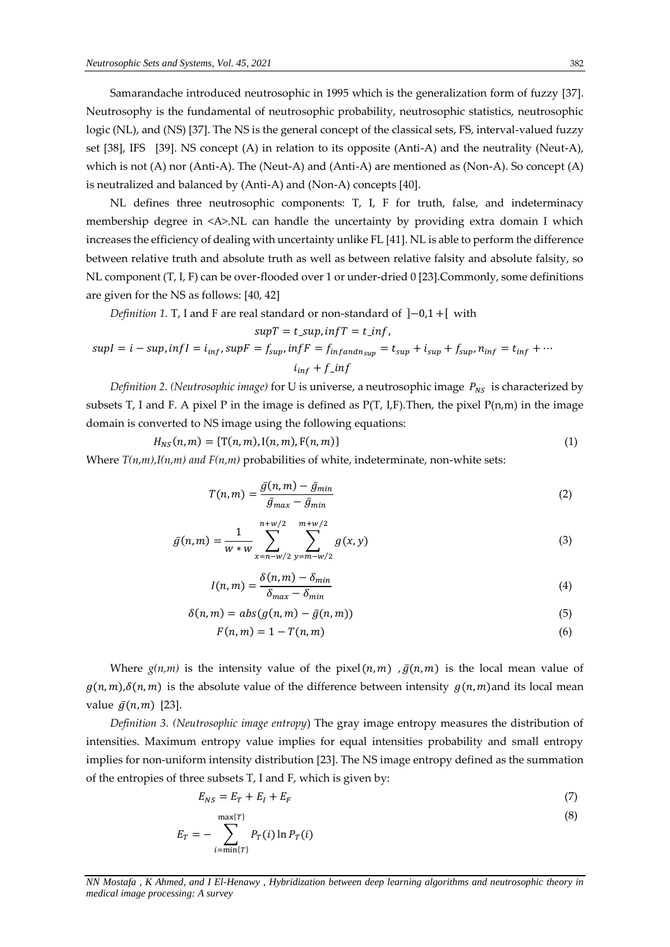Samarandache introduced neutrosophic in 1995 which is the generalization form of fuzzy [37]. Neutrosophy is the fundamental of neutrosophic probability, neutrosophic statistics, neutrosophic logic (NL), and (NS) [37]. The NS is the general concept of the classical sets, FS, interval-valued fuzzy set [38], IFS [39]. NS concept (A) in relation to its opposite (Anti-A) and the neutrality (Neut-A), which is not (A) nor (Anti-A). The (Neut-A) and (Anti-A) are mentioned as (Non-A). So concept (A) is neutralized and balanced by (Anti-A) and (Non-A) concepts [40].

NL defines three neutrosophic components: T, I, F for truth, false, and indeterminacy membership degree in <A>.NL can handle the uncertainty by providing extra domain I which increases the efficiency of dealing with uncertainty unlike FL [41]. NL is able to perform the difference between relative truth and absolute truth as well as between relative falsity and absolute falsity, so NL component (T, I, F) can be over-flooded over 1 or under-dried 0 [23].Commonly, some definitions are given for the NS as follows: [40, 42]

*Definition 1.* T, I and F are real standard or non-standard of  $]-0,1+[$  with

$$
supT = t\_sup, infT = t\_inf,
$$
  
\n
$$
supI = i - sup, infI = i_{inf}, supF = f_{sup}, infF = f_{inf, and n_{sup}} = t_{sup} + i_{sup} + f_{sup}, n_{inf} = t_{inf} + \cdots
$$
  
\n
$$
i_{inf} + f\_inf
$$

*Definition 2. (Neutrosophic image)* for U is universe, a neutrosophic image  $P_{NS}$  is characterized by subsets T, I and F. A pixel P in the image is defined as  $P(T, I, F)$ . Then, the pixel  $P(n,m)$  in the image domain is converted to NS image using the following equations:

$$
H_{NS}(n,m) = \{T(n,m), I(n,m), F(n,m)\}
$$
\n(1)

Where  $T(n,m)$ ,  $I(n,m)$  *and*  $F(n,m)$  probabilities of white, indeterminate, non-white sets:

$$
T(n,m) = \frac{\bar{g}(n,m) - \bar{g}_{min}}{\bar{g}_{max} - \bar{g}_{min}}\tag{2}
$$

$$
\bar{g}(n,m) = \frac{1}{w * w} \sum_{x=n-w/2}^{n+w/2} \sum_{y=m-w/2}^{m+w/2} g(x,y)
$$
 (3)

$$
I(n,m) = \frac{\delta(n,m) - \delta_{min}}{\delta_{max} - \delta_{min}} \tag{4}
$$

$$
\delta(n,m) = abs(g(n,m) - \bar{g}(n,m))
$$
\n(5)

$$
F(n,m) = 1 - T(n,m) \tag{6}
$$

Where  $g(n,m)$  is the intensity value of the pixel  $(n, m)$ ,  $\bar{g}(n, m)$  is the local mean value of  $g(n, m), \delta(n, m)$  is the absolute value of the difference between intensity  $g(n, m)$  and its local mean value  $\bar{g}(n, m)$  [23].

*Definition 3. (Neutrosophic image entropy*) The gray image entropy measures the distribution of intensities. Maximum entropy value implies for equal intensities probability and small entropy implies for non-uniform intensity distribution [23]. The NS image entropy defined as the summation of the entropies of three subsets T, I and F, which is given by:

$$
E_{NS} = E_T + E_I + E_F \tag{7}
$$

$$
E_T = -\sum_{i=\min\{T\}}^{\max\{T\}} P_T(i) \ln P_T(i)
$$
\n(8)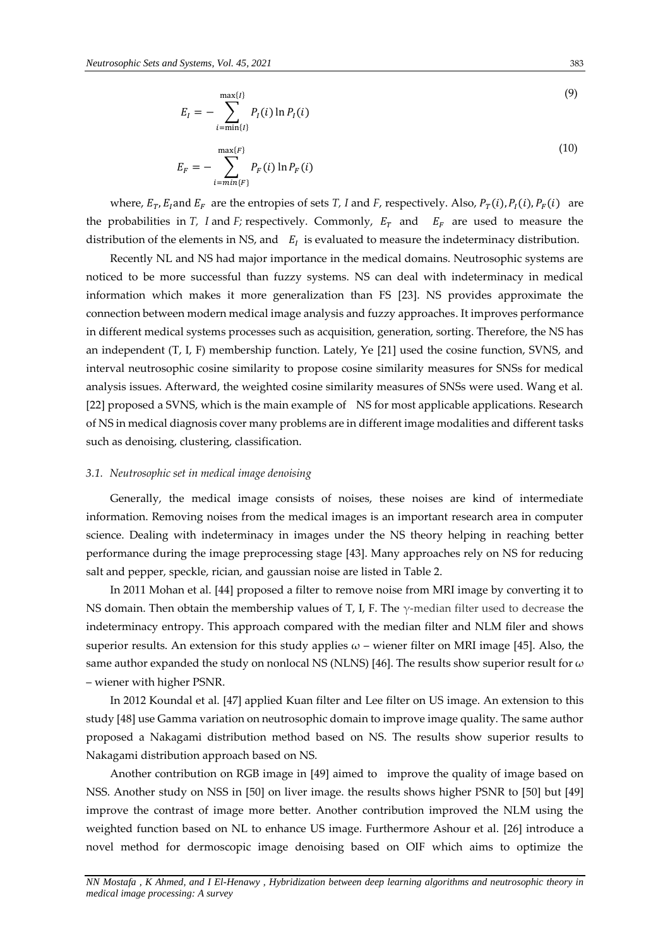$$
E_I = -\sum_{i=\min\{I\}}^{\max\{I\}} P_I(i) \ln P_I(i) \tag{9}
$$

$$
E_F = -\sum_{i=\min\{F\}}^{\max\{F\}} P_F(i) \ln P_F(i)
$$
 (10)

where,  $E_T$ ,  $E_I$  and  $E_F$  are the entropies of sets *T*, *I* and *F*, respectively. Also,  $P_T(i)$ ,  $P_I(i)$ ,  $P_F(i)$  are the probabilities in *T*, *I* and *F*; respectively. Commonly,  $E_T$  and  $E_F$  are used to measure the distribution of the elements in NS, and  $E_I$  is evaluated to measure the indeterminacy distribution.

Recently NL and NS had major importance in the medical domains. Neutrosophic systems are noticed to be more successful than fuzzy systems. NS can deal with indeterminacy in medical information which makes it more generalization than FS [23]. NS provides approximate the connection between modern medical image analysis and fuzzy approaches. It improves performance in different medical systems processes such as acquisition, generation, sorting. Therefore, the NS has an independent (T, I, F) membership function. Lately, Ye [21] used the cosine function, SVNS, and interval neutrosophic cosine similarity to propose cosine similarity measures for SNSs for medical analysis issues. Afterward, the weighted cosine similarity measures of SNSs were used. Wang et al. [22] proposed a SVNS, which is the main example of NS for most applicable applications. Research of NS in medical diagnosis cover many problems are in different image modalities and different tasks such as denoising, clustering, classification.

#### *3.1. Neutrosophic set in medical image denoising*

Generally, the medical image consists of noises, these noises are kind of intermediate information. Removing noises from the medical images is an important research area in computer science. Dealing with indeterminacy in images under the NS theory helping in reaching better performance during the image preprocessing stage [43]. Many approaches rely on NS for reducing salt and pepper, speckle, rician, and gaussian noise are listed in Table 2.

In 2011 Mohan et al. [44] proposed a filter to remove noise from MRI image by converting it to NS domain. Then obtain the membership values of T, I, F. The  $\gamma$ -median filter used to decrease the indeterminacy entropy. This approach compared with the median filter and NLM filer and shows superior results. An extension for this study applies  $\omega$  – wiener filter on MRI image [45]. Also, the same author expanded the study on nonlocal NS (NLNS) [46]. The results show superior result for  $\omega$ – wiener with higher PSNR.

In 2012 Koundal et al. [47] applied Kuan filter and Lee filter on US image. An extension to this study [48] use Gamma variation on neutrosophic domain to improve image quality. The same author proposed a Nakagami distribution method based on NS. The results show superior results to Nakagami distribution approach based on NS.

Another contribution on RGB image in [49] aimed to improve the quality of image based on NSS. Another study on NSS in [50] on liver image. the results shows higher PSNR to [50] but [49] improve the contrast of image more better. Another contribution improved the NLM using the weighted function based on NL to enhance US image. Furthermore Ashour et al. [26] introduce a novel method for dermoscopic image denoising based on OIF which aims to optimize the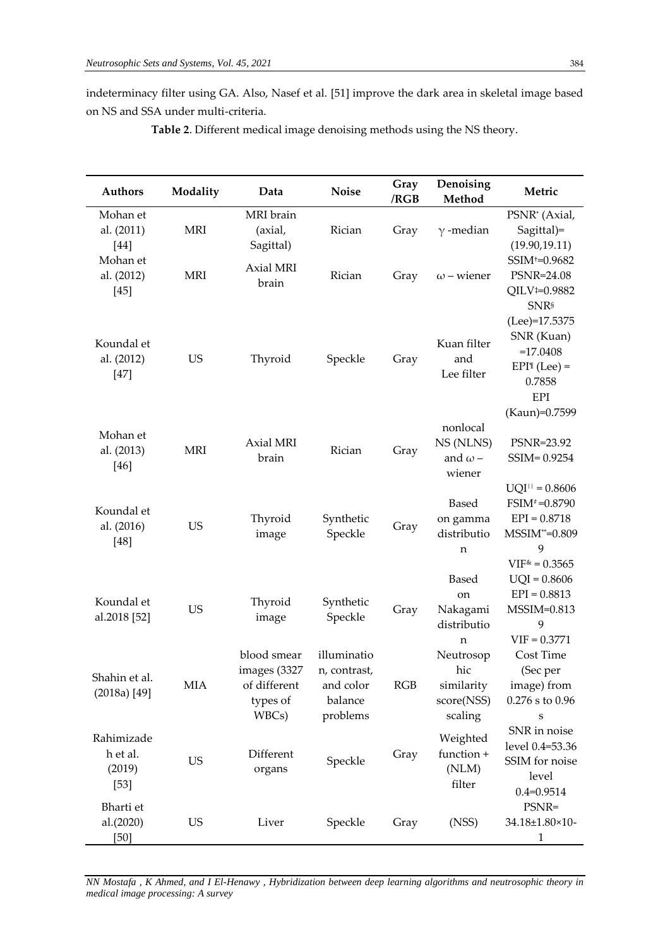indeterminacy filter using GA. Also, Nasef et al. [51] improve the dark area in skeletal image based on NS and SSA under multi-criteria.

| <b>Authors</b>                             | Modality   | Data                                                             | <b>Noise</b>                                                    | Gray<br>/RGB | Denoising<br>Method                                     | Metric                                                                                                |
|--------------------------------------------|------------|------------------------------------------------------------------|-----------------------------------------------------------------|--------------|---------------------------------------------------------|-------------------------------------------------------------------------------------------------------|
| Mohan et<br>al. (2011)<br>$[44]$           | <b>MRI</b> | MRI brain<br>(axial,<br>Sagittal)                                | Rician                                                          | Gray         | $\gamma$ -median                                        | PSNR <sup>*</sup> (Axial,<br>Sagittal)=<br>(19.90, 19.11)                                             |
| Mohan et<br>al. (2012)<br>$[45]$           | <b>MRI</b> | Axial MRI<br>brain                                               | Rician                                                          | Gray         | $\omega$ – wiener                                       | SSIM <sup>+</sup> =0.9682<br>PSNR=24.08<br>QILV <sup>1=0.9882</sup><br><b>SNR</b> <sup>§</sup>        |
| Koundal et<br>al. (2012)<br>$[47]$         | <b>US</b>  | Thyroid                                                          | Speckle                                                         | Gray         | Kuan filter<br>and<br>Lee filter                        | (Lee)=17.5375<br>SNR (Kuan)<br>$=17.0408$<br>$EPII$ (Lee) =<br>0.7858<br><b>EPI</b><br>(Kaun)=0.7599  |
| Mohan et<br>al. (2013)<br>$[46]$           | <b>MRI</b> | Axial MRI<br>brain                                               | Rician                                                          | Gray         | nonlocal<br>NS (NLNS)<br>and $\omega$ –<br>wiener       | PSNR=23.92<br>SSIM=0.9254                                                                             |
| Koundal et<br>al. (2016)<br>$[48]$         | <b>US</b>  | Thyroid<br>image                                                 | Synthetic<br>Speckle                                            | Gray         | <b>Based</b><br>on gamma<br>distributio<br>n            | $UQI^{  }=0.8606$<br>$FSIM^*=0.8790$<br>$EPI = 0.8718$<br>$MSSIM^{**}=0.809$<br>9<br>$VIF^* = 0.3565$ |
| Koundal et<br>al.2018 [52]                 | <b>US</b>  | Thyroid<br>image                                                 | Synthetic<br>Speckle                                            | Gray         | <b>Based</b><br>on<br>Nakagami<br>distributio<br>n      | $UQI = 0.8606$<br>$EPI = 0.8813$<br>MSSIM=0.813<br>9<br>$VIF = 0.3771$                                |
| Shahin et al.<br>$(2018a)$ [49]            | <b>MIA</b> | blood smear<br>images (3327<br>of different<br>types of<br>WBCs) | illuminatio<br>n, contrast,<br>and color<br>balance<br>problems | RGB          | Neutrosop<br>hic<br>similarity<br>score(NSS)<br>scaling | Cost Time<br>(Sec per<br>image) from<br>$0.276$ s to $0.96$<br>S                                      |
| Rahimizade<br>h et al.<br>(2019)<br>$[53]$ | <b>US</b>  | Different<br>organs                                              | Speckle                                                         | Gray         | Weighted<br>function +<br>(NLM)<br>filter               | SNR in noise<br>level 0.4=53.36<br>SSIM for noise<br>level<br>$0.4 = 0.9514$                          |
| Bharti et<br>al.(2020)<br>$[50]$           | US         | Liver                                                            | Speckle                                                         | Gray         | (NSS)                                                   | PSNR=<br>34.18±1.80×10-<br>1                                                                          |

**Table 2**. Different medical image denoising methods using the NS theory.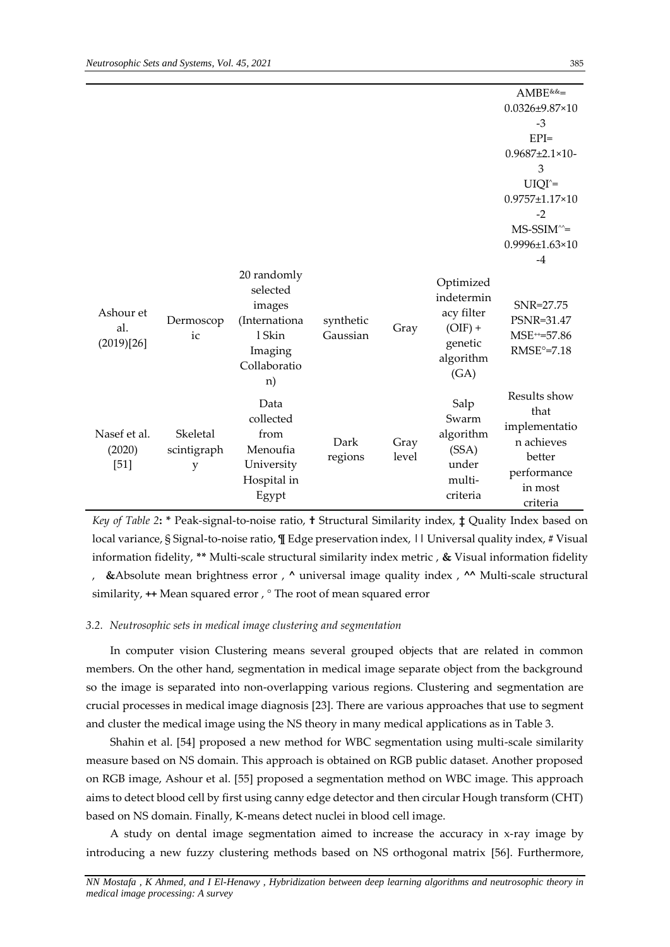|                                  |                              |                                                                                               |                       |               |                                                                                    | AMBE&&=                                                                                             |
|----------------------------------|------------------------------|-----------------------------------------------------------------------------------------------|-----------------------|---------------|------------------------------------------------------------------------------------|-----------------------------------------------------------------------------------------------------|
|                                  |                              |                                                                                               |                       |               |                                                                                    | $0.0326 \pm 9.87 \times 10$                                                                         |
|                                  |                              |                                                                                               |                       |               |                                                                                    | $-3$                                                                                                |
|                                  |                              |                                                                                               |                       |               |                                                                                    | $EPI=$                                                                                              |
|                                  |                              |                                                                                               |                       |               |                                                                                    | $0.9687 \pm 2.1 \times 10$ -                                                                        |
|                                  |                              |                                                                                               |                       |               |                                                                                    | 3                                                                                                   |
|                                  |                              |                                                                                               |                       |               |                                                                                    | $UIQI' =$                                                                                           |
|                                  |                              |                                                                                               |                       |               |                                                                                    | 0.9757±1.17×10                                                                                      |
|                                  |                              |                                                                                               |                       |               |                                                                                    | $-2$                                                                                                |
|                                  |                              |                                                                                               |                       |               |                                                                                    | $MS-SSIM^{\wedge}$ =                                                                                |
|                                  |                              |                                                                                               |                       |               |                                                                                    | 0.9996±1.63×10                                                                                      |
|                                  |                              |                                                                                               |                       |               |                                                                                    | $-4$                                                                                                |
| Ashour et<br>al.<br>(2019)[26]   | Dermoscop<br>ic              | 20 randomly<br>selected<br>images<br>(Internationa<br>1 Skin<br>Imaging<br>Collaboratio<br>n) | synthetic<br>Gaussian | Gray          | Optimized<br>indetermin<br>acy filter<br>$(OIF) +$<br>genetic<br>algorithm<br>(GA) | SNR=27.75<br>PSNR=31.47<br>MSE <sup>++</sup> =57.86<br>$RMSE^{\circ} = 7.18$                        |
| Nasef et al.<br>(2020)<br>$[51]$ | Skeletal<br>scintigraph<br>y | Data<br>collected<br>from<br>Menoufia<br>University<br>Hospital in<br>Egypt                   | Dark<br>regions       | Gray<br>level | Salp<br>Swarm<br>algorithm<br>(SSA)<br>under<br>multi-<br>criteria                 | Results show<br>that<br>implementatio<br>n achieves<br>better<br>performance<br>in most<br>criteria |

*Key of Table 2***: \*** Peak-signal-to-noise ratio, **†** Structural Similarity index, **‡** Quality Index based on local variance, § Signal-to-noise ratio, **¶** Edge preservation index, **||** Universal quality index, **#** Visual information fidelity, **\*\*** Multi-scale structural similarity index metric , **&** Visual information fidelity , **&**Absolute mean brightness error , **^** universal image quality index , **^^** Multi-scale structural similarity, **++** Mean squared error , ° The root of mean squared error

#### *3.2. Neutrosophic sets in medical image clustering and segmentation*

In computer vision Clustering means several grouped objects that are related in common members. On the other hand, segmentation in medical image separate object from the background so the image is separated into non-overlapping various regions. Clustering and segmentation are crucial processes in medical image diagnosis [23]. There are various approaches that use to segment and cluster the medical image using the NS theory in many medical applications as in Table 3.

Shahin et al. [54] proposed a new method for WBC segmentation using multi-scale similarity measure based on NS domain. This approach is obtained on RGB public dataset. Another proposed on RGB image, Ashour et al. [55] proposed a segmentation method on WBC image. This approach aims to detect blood cell by first using canny edge detector and then circular Hough transform (CHT) based on NS domain. Finally, K-means detect nuclei in blood cell image.

A study on dental image segmentation aimed to increase the accuracy in x-ray image by introducing a new fuzzy clustering methods based on NS orthogonal matrix [56]. Furthermore,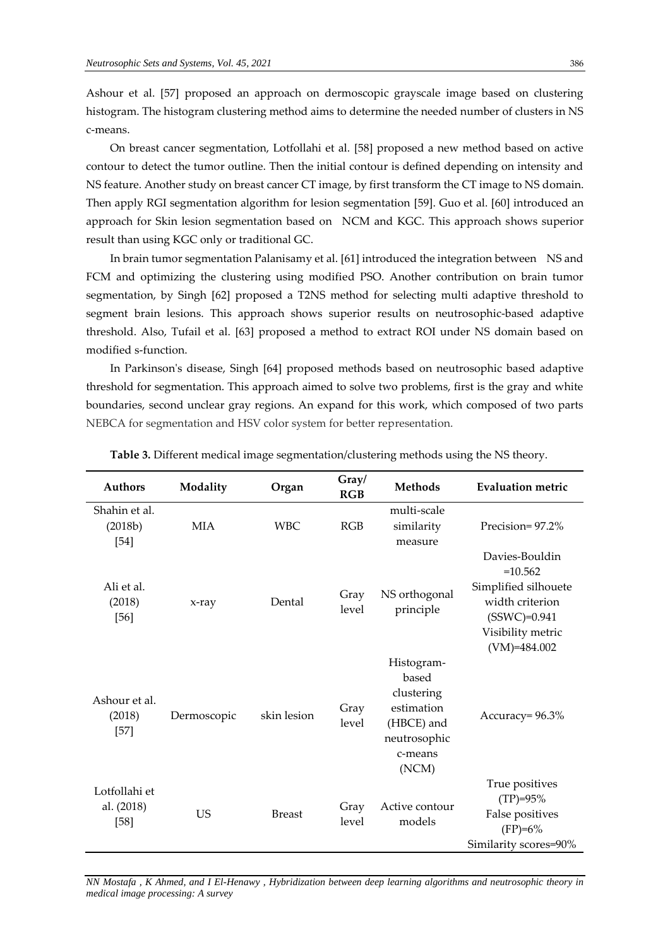Ashour et al. [57] proposed an approach on dermoscopic grayscale image based on clustering histogram. The histogram clustering method aims to determine the needed number of clusters in NS c-means.

On breast cancer segmentation, Lotfollahi et al. [58] proposed a new method based on active contour to detect the tumor outline. Then the initial contour is defined depending on intensity and NS feature. Another study on breast cancer CT image, by first transform the CT image to NS domain. Then apply RGI segmentation algorithm for lesion segmentation [59]. Guo et al. [60] introduced an approach for Skin lesion segmentation based on NCM and KGC. This approach shows superior result than using KGC only or traditional GC.

In brain tumor segmentation Palanisamy et al. [61] introduced the integration between NS and FCM and optimizing the clustering using modified PSO. Another contribution on brain tumor segmentation, by Singh [62] proposed a T2NS method for selecting multi adaptive threshold to segment brain lesions. This approach shows superior results on neutrosophic-based adaptive threshold. Also, Tufail et al. [63] proposed a method to extract ROI under NS domain based on modified s-function.

In Parkinson's disease, Singh [64] proposed methods based on neutrosophic based adaptive threshold for segmentation. This approach aimed to solve two problems, first is the gray and white boundaries, second unclear gray regions. An expand for this work, which composed of two parts NEBCA for segmentation and HSV color system for better representation.

| <b>Authors</b>                        | Modality    | Organ         | Gray/<br>RGB  | <b>Methods</b>                                                                                    | <b>Evaluation metric</b>                                                                                                        |
|---------------------------------------|-------------|---------------|---------------|---------------------------------------------------------------------------------------------------|---------------------------------------------------------------------------------------------------------------------------------|
| Shahin et al.<br>(2018b)<br>$[54]$    | <b>MIA</b>  | <b>WBC</b>    | RGB           | multi-scale<br>similarity<br>measure                                                              | Precision=97.2%                                                                                                                 |
| Ali et al.<br>(2018)<br>$[56]$        | x-ray       | Dental        | Gray<br>level | NS orthogonal<br>principle                                                                        | Davies-Bouldin<br>$=10.562$<br>Simplified silhouete<br>width criterion<br>$(SSWC)=0.941$<br>Visibility metric<br>$(VM)=484.002$ |
| Ashour et al.<br>(2018)<br>$[57]$     | Dermoscopic | skin lesion   | Gray<br>level | Histogram-<br>based<br>clustering<br>estimation<br>(HBCE) and<br>neutrosophic<br>c-means<br>(NCM) | Accuracy= 96.3%                                                                                                                 |
| Lotfollahi et<br>al. (2018)<br>$[58]$ | <b>US</b>   | <b>Breast</b> | Gray<br>level | Active contour<br>models                                                                          | True positives<br>$(TP)=95%$<br>False positives<br>$(FP)=6%$<br>Similarity scores=90%                                           |

**Table 3.** Different medical image segmentation/clustering methods using the NS theory.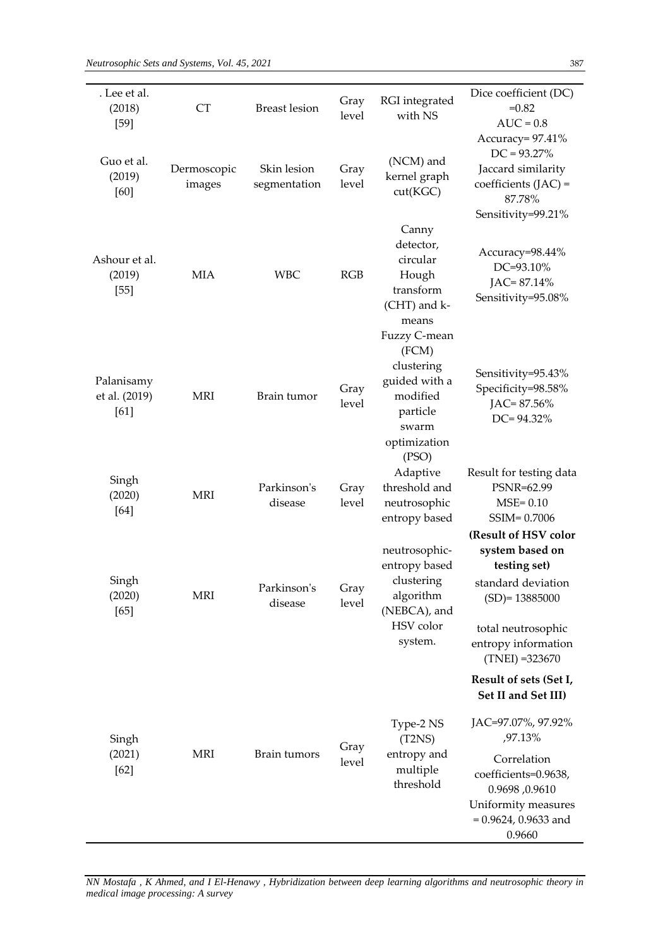÷

| . Lee et al.<br>(2018)<br>$[59]$    | <b>CT</b>             | <b>Breast lesion</b>        | Gray<br>level | RGI integrated<br>with NS                                                                         | Dice coefficient (DC)<br>$=0.82$<br>$AUC = 0.8$                                                                                                                                                    |
|-------------------------------------|-----------------------|-----------------------------|---------------|---------------------------------------------------------------------------------------------------|----------------------------------------------------------------------------------------------------------------------------------------------------------------------------------------------------|
| Guo et al.<br>(2019)<br>[60]        | Dermoscopic<br>images | Skin lesion<br>segmentation | Gray<br>level | (NCM) and<br>kernel graph<br>cut(KGC)                                                             | Accuracy= 97.41%<br>$DC = 93.27\%$<br>Jaccard similarity<br>coefficients $(JAC)$ =<br>87.78%<br>Sensitivity=99.21%                                                                                 |
| Ashour et al.<br>(2019)<br>$[55]$   | <b>MIA</b>            | <b>WBC</b>                  | RGB           | Canny<br>detector,<br>circular<br>Hough<br>transform<br>(CHT) and k-<br>means<br>Fuzzy C-mean     | Accuracy=98.44%<br>DC=93.10%<br>JAC=87.14%<br>Sensitivity=95.08%                                                                                                                                   |
| Palanisamy<br>et al. (2019)<br>[61] | <b>MRI</b>            | Brain tumor                 | Gray<br>level | (FCM)<br>clustering<br>guided with a<br>modified<br>particle<br>swarm<br>optimization             | Sensitivity=95.43%<br>Specificity=98.58%<br>$IAC = 87.56\%$<br>$DC = 94.32\%$                                                                                                                      |
| Singh<br>(2020)<br>$[64]$           | <b>MRI</b>            | Parkinson's<br>disease      | Gray<br>level | (PSO)<br>Adaptive<br>threshold and<br>neutrosophic<br>entropy based                               | Result for testing data<br>PSNR=62.99<br>$MSE = 0.10$<br>SSIM=0.7006                                                                                                                               |
| Singh<br>(2020)<br>$[65]$           | MRI                   | Parkinson's<br>disease      | Gray<br>level | neutrosophic-<br>entropy based<br>clustering<br>algorithm<br>(NEBCA), and<br>HSV color<br>system. | (Result of HSV color<br>system based on<br>testing set)<br>standard deviation<br>$(SD)=13885000$<br>total neutrosophic<br>entropy information<br>$(TNEI) = 323670$                                 |
| Singh<br>(2021)<br>$[62]$           | MRI                   | Brain tumors                | Gray<br>level | Type-2 NS<br>(T2NS)<br>entropy and<br>multiple<br>threshold                                       | Result of sets (Set I,<br>Set II and Set III)<br>JAC=97.07%, 97.92%<br>,97.13%<br>Correlation<br>coefficients=0.9638,<br>0.9610, 0.9610<br>Uniformity measures<br>$= 0.9624, 0.9633$ and<br>0.9660 |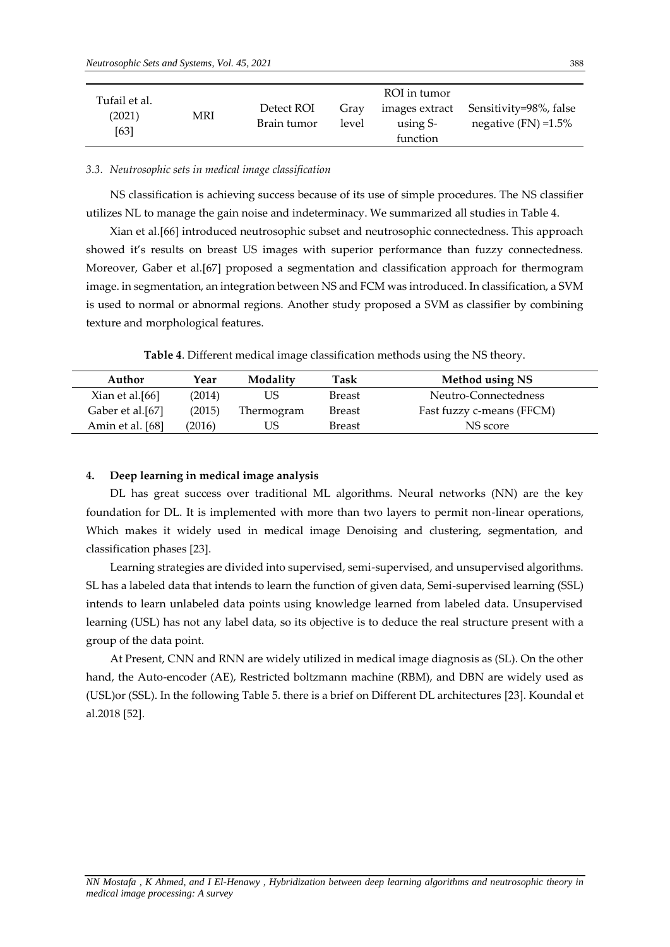| Tufail et al.<br>(2021)<br>[63] | MRI | Detect ROI<br>Brain tumor | Gray<br>level | ROI in tumor<br>images extract<br>using S-<br>function | Sensitivity=98%, false<br>negative $(FN) = 1.5\%$ |
|---------------------------------|-----|---------------------------|---------------|--------------------------------------------------------|---------------------------------------------------|
|---------------------------------|-----|---------------------------|---------------|--------------------------------------------------------|---------------------------------------------------|

## *3.3. Neutrosophic sets in medical image classification*

NS classification is achieving success because of its use of simple procedures. The NS classifier utilizes NL to manage the gain noise and indeterminacy. We summarized all studies in Table 4.

Xian et al.[66] introduced neutrosophic subset and neutrosophic connectedness. This approach showed it's results on breast US images with superior performance than fuzzy connectedness. Moreover, Gaber et al.[67] proposed a segmentation and classification approach for thermogram image. in segmentation, an integration between NS and FCM was introduced. In classification, a SVM is used to normal or abnormal regions. Another study proposed a SVM as classifier by combining texture and morphological features.

**Table 4**. Different medical image classification methods using the NS theory.

| Author           | Year   | Modality   | Task          | Method using NS           |
|------------------|--------|------------|---------------|---------------------------|
| Xian et al.[66]  | (2014) | US         | <b>Breast</b> | Neutro-Connectedness      |
| Gaber et al.[67] | (2015) | Thermogram | <b>Breast</b> | Fast fuzzy c-means (FFCM) |
| Amin et al. [68] | (2016) | US         | <b>Breast</b> | NS score                  |

# **4. Deep learning in medical image analysis**

DL has great success over traditional ML algorithms. Neural networks (NN) are the key foundation for DL. It is implemented with more than two layers to permit non-linear operations, Which makes it widely used in medical image Denoising and clustering, segmentation, and classification phases [23].

Learning strategies are divided into supervised, semi-supervised, and unsupervised algorithms. SL has a labeled data that intends to learn the function of given data, Semi-supervised learning (SSL) intends to learn unlabeled data points using knowledge learned from labeled data. Unsupervised learning (USL) has not any label data, so its objective is to deduce the real structure present with a group of the data point.

At Present, CNN and RNN are widely utilized in medical image diagnosis as (SL). On the other hand, the Auto-encoder (AE), Restricted boltzmann machine (RBM), and DBN are widely used as (USL)or (SSL). In the following Table 5. there is a brief on Different DL architectures [23]. Koundal et al.2018 [52].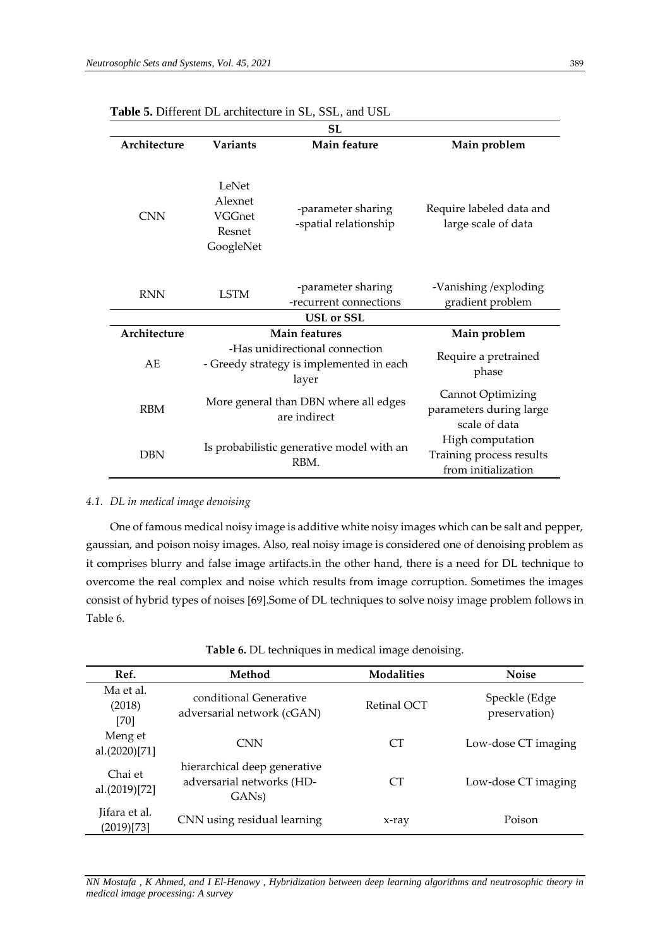| <b>SL</b>    |                                                   |                                                                                     |                                                                      |  |  |
|--------------|---------------------------------------------------|-------------------------------------------------------------------------------------|----------------------------------------------------------------------|--|--|
| Architecture | <b>Variants</b>                                   | Main feature                                                                        | Main problem                                                         |  |  |
| <b>CNN</b>   | LeNet<br>Alexnet<br>VGGnet<br>Resnet<br>GoogleNet | -parameter sharing<br>-spatial relationship                                         | Require labeled data and<br>large scale of data                      |  |  |
| <b>RNN</b>   | <b>LSTM</b>                                       | -parameter sharing<br>-recurrent connections                                        | -Vanishing / exploding<br>gradient problem                           |  |  |
|              |                                                   | <b>USL</b> or SSL                                                                   |                                                                      |  |  |
| Architecture |                                                   | Main features                                                                       | Main problem                                                         |  |  |
| AE           |                                                   | -Has unidirectional connection<br>- Greedy strategy is implemented in each<br>layer | Require a pretrained<br>phase                                        |  |  |
| <b>RBM</b>   |                                                   | More general than DBN where all edges<br>are indirect                               | <b>Cannot Optimizing</b><br>parameters during large<br>scale of data |  |  |
| <b>DBN</b>   | Is probabilistic generative model with an<br>RBM. |                                                                                     | High computation<br>Training process results<br>from initialization  |  |  |

**Table 5.** Different DL architecture in SL, SSL, and USL

# *4.1. DL in medical image denoising*

One of famous medical noisy image is additive white noisy images which can be salt and pepper, gaussian, and poison noisy images. Also, real noisy image is considered one of denoising problem as it comprises blurry and false image artifacts.in the other hand, there is a need for DL technique to overcome the real complex and noise which results from image corruption. Sometimes the images consist of hybrid types of noises [69].Some of DL techniques to solve noisy image problem follows in Table 6.

| Table 6. DL techniques in medical image denoising. |  |  |
|----------------------------------------------------|--|--|
|                                                    |  |  |
|                                                    |  |  |

| Ref.                        | Method                                                                          | <b>Modalities</b> | <b>Noise</b>                   |
|-----------------------------|---------------------------------------------------------------------------------|-------------------|--------------------------------|
| Ma et al.<br>(2018)<br>[70] | conditional Generative<br>adversarial network (cGAN)                            | Retinal OCT       | Speckle (Edge<br>preservation) |
| Meng et<br>al.(2020)[71]    | <b>CNN</b>                                                                      | CT <sup>-</sup>   | Low-dose CT imaging            |
| Chai et<br>al.(2019)[72]    | hierarchical deep generative<br>adversarial networks (HD-<br>GAN <sub>s</sub> ) | CT <sup>-</sup>   | Low-dose CT imaging            |
| Jifara et al.<br>(2019)[73] | CNN using residual learning                                                     | x-ray             | Poison                         |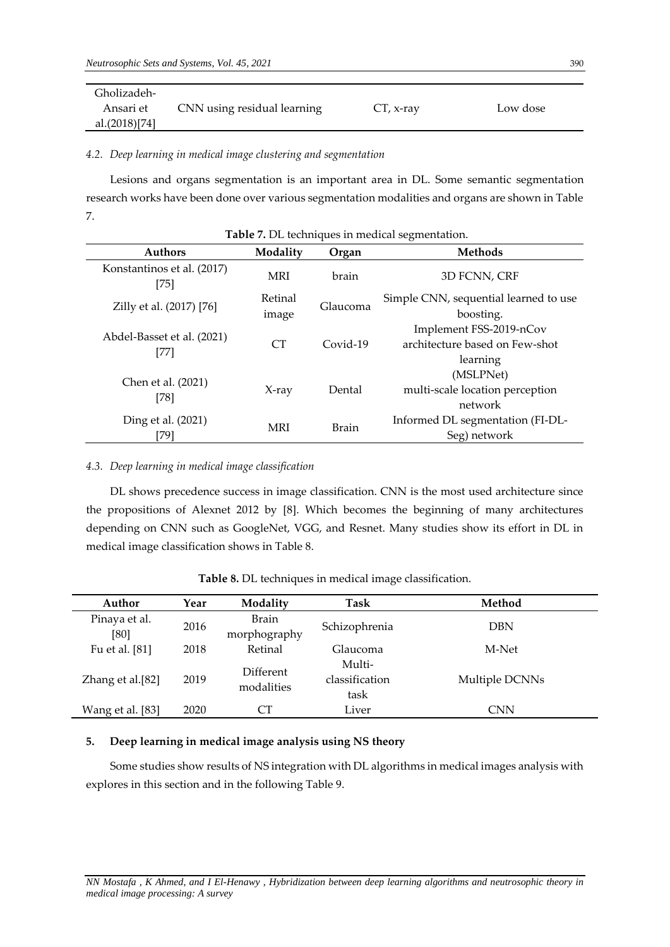| Gholizadeh-   |                             |              |          |
|---------------|-----------------------------|--------------|----------|
| Ansari et     | CNN using residual learning | $CT$ , x-ray | Low dose |
| al.(2018)[74] |                             |              |          |

*4.2. Deep learning in medical image clustering and segmentation*

Lesions and organs segmentation is an important area in DL. Some semantic segmentation research works have been done over various segmentation modalities and organs are shown in Table 7.

| Table 7. DL techniques in medical segmentation. |                  |              |                                                                       |  |  |
|-------------------------------------------------|------------------|--------------|-----------------------------------------------------------------------|--|--|
| <b>Authors</b>                                  | Modality         | Organ        | <b>Methods</b>                                                        |  |  |
| Konstantinos et al. (2017)<br>$[75]$            | <b>MRI</b>       | brain        | 3D FCNN, CRF                                                          |  |  |
| Zilly et al. (2017) [76]                        | Retinal<br>image | Glaucoma     | Simple CNN, sequential learned to use<br>boosting.                    |  |  |
| Abdel-Basset et al. (2021)<br>$[77]$            | CT               | $Covid-19$   | Implement FSS-2019-nCov<br>architecture based on Few-shot<br>learning |  |  |
| Chen et al. (2021)<br>[78]                      | $X-ray$          | Dental       | (MSLPNet)<br>multi-scale location perception<br>network               |  |  |
| Ding et al. (2021)<br>[79]                      | <b>MRI</b>       | <b>Brain</b> | Informed DL segmentation (FI-DL-<br>Seg) network                      |  |  |

*4.3. Deep learning in medical image classification*

DL shows precedence success in image classification. CNN is the most used architecture since the propositions of Alexnet 2012 by [8]. Which becomes the beginning of many architectures depending on CNN such as GoogleNet, VGG, and Resnet. Many studies show its effort in DL in medical image classification shows in Table 8.

| Author           | Year | Modality                | Task                 | Method         |
|------------------|------|-------------------------|----------------------|----------------|
|                  |      |                         |                      |                |
| Pinaya et al.    | 2016 | <b>Brain</b>            | Schizophrenia<br>DBN |                |
| [80]             |      | morphography            |                      |                |
| Fu et al. [81]   | 2018 | Retinal                 | Glaucoma             | M-Net          |
| Zhang et al.[82] | 2019 | Different<br>modalities | Multi-               |                |
|                  |      |                         | classification       | Multiple DCNNs |
|                  |      |                         | task                 |                |
| Wang et al. [83] | 2020 | CТ                      | Liver                | CNN            |

**Table 8.** DL techniques in medical image classification.

# **5. Deep learning in medical image analysis using NS theory**

Some studies show results of NS integration with DL algorithms in medical images analysis with explores in this section and in the following Table 9.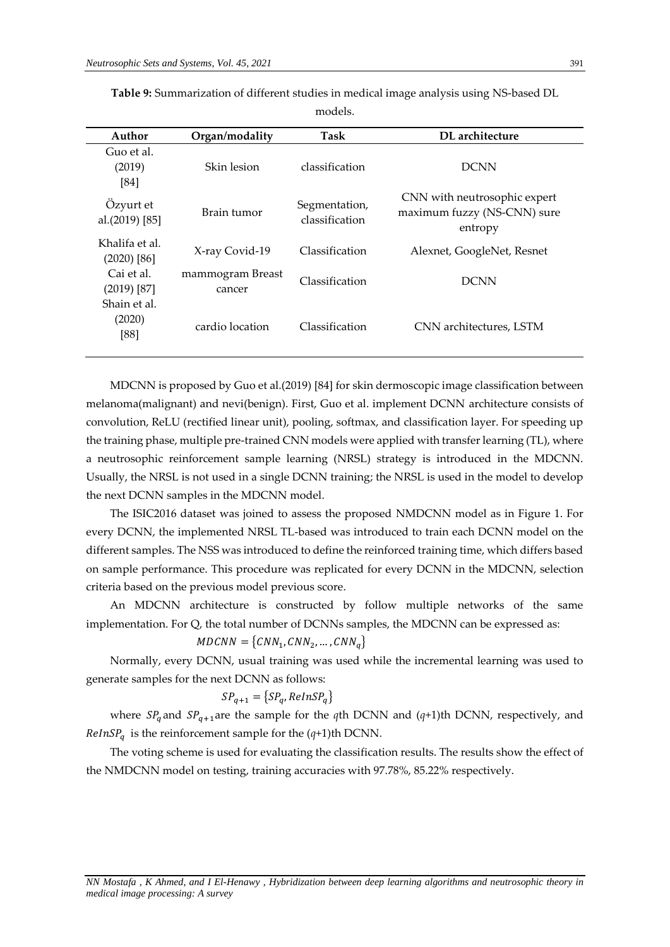| Author                          | Organ/modality             | Task                            | DL architecture                                                        |
|---------------------------------|----------------------------|---------------------------------|------------------------------------------------------------------------|
| Guo et al.<br>(2019)<br>[84]    | Skin lesion                | classification                  | <b>DCNN</b>                                                            |
| Ozyurt et<br>al.(2019) [85]     | Brain fumor                | Segmentation,<br>classification | CNN with neutrosophic expert<br>maximum fuzzy (NS-CNN) sure<br>entropy |
| Khalifa et al.<br>$(2020)$ [86] | X-ray Covid-19             | Classification                  | Alexnet, GoogleNet, Resnet                                             |
| Cai et al.<br>$(2019)$ [87]     | mammogram Breast<br>cancer | Classification                  | <b>DCNN</b>                                                            |
| Shain et al.<br>(2020)<br>[88]  | cardio location            | Classification                  | CNN architectures, LSTM                                                |

**Table 9:** Summarization of different studies in medical image analysis using NS-based DL

models.

MDCNN is proposed by Guo et al.(2019) [84] for skin dermoscopic image classification between melanoma(malignant) and nevi(benign). First, Guo et al. implement DCNN architecture consists of convolution, ReLU (rectified linear unit), pooling, softmax, and classification layer. For speeding up the training phase, multiple pre-trained CNN models were applied with transfer learning (TL), where a neutrosophic reinforcement sample learning (NRSL) strategy is introduced in the MDCNN. Usually, the NRSL is not used in a single DCNN training; the NRSL is used in the model to develop the next DCNN samples in the MDCNN model.

The ISIC2016 dataset was joined to assess the proposed NMDCNN model as in Figure 1. For every DCNN, the implemented NRSL TL-based was introduced to train each DCNN model on the different samples. The NSS was introduced to define the reinforced training time, which differs based on sample performance. This procedure was replicated for every DCNN in the MDCNN, selection criteria based on the previous model previous score.

An MDCNN architecture is constructed by follow multiple networks of the same implementation. For Q, the total number of DCNNs samples, the MDCNN can be expressed as:

$$
MDCNN = \{CNN_1, CNN_2, ..., CNN_q\}
$$

Normally, every DCNN, usual training was used while the incremental learning was used to generate samples for the next DCNN as follows:

$$
SP_{q+1} = \{SP_q, RelnSP_q\}
$$

where  $SP_q$  and  $SP_{q+1}$ are the sample for the *q*th DCNN and (*q*+1)th DCNN, respectively, and  $RelnSP<sub>a</sub>$  is the reinforcement sample for the  $(q+1)$ th DCNN.

The voting scheme is used for evaluating the classification results. The results show the effect of the NMDCNN model on testing, training accuracies with 97.78%, 85.22% respectively.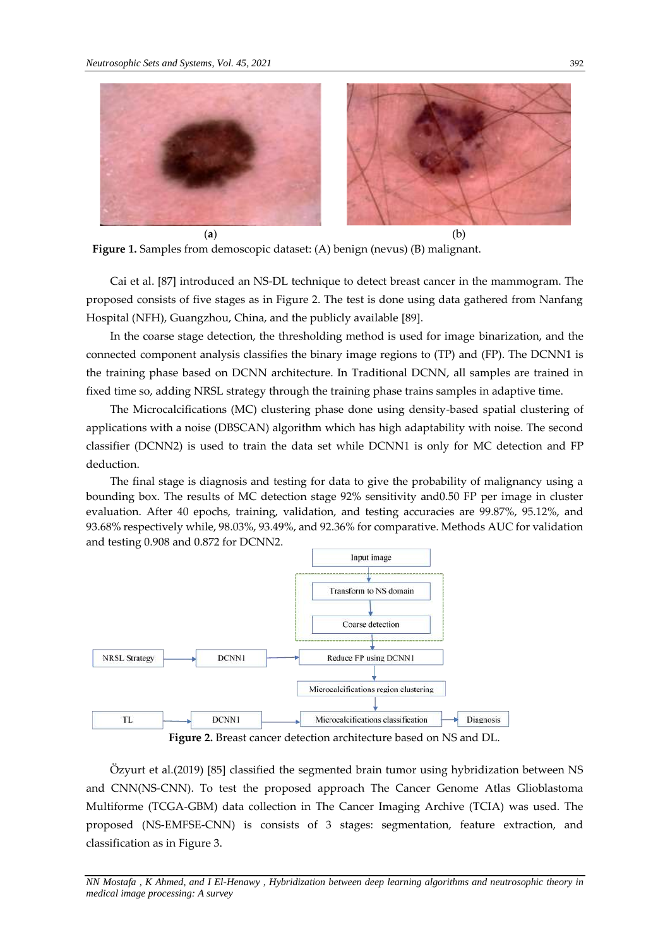

**Figure 1.** Samples from demoscopic dataset: (A) benign (nevus) (B) malignant.

Cai et al. [87] introduced an NS-DL technique to detect breast cancer in the mammogram. The proposed consists of five stages as in Figure 2. The test is done using data gathered from Nanfang Hospital (NFH), Guangzhou, China, and the publicly available [89].

In the coarse stage detection, the thresholding method is used for image binarization, and the connected component analysis classifies the binary image regions to (TP) and (FP). The DCNN1 is the training phase based on DCNN architecture. In Traditional DCNN, all samples are trained in fixed time so, adding NRSL strategy through the training phase trains samples in adaptive time.

The Microcalcifications (MC) clustering phase done using density-based spatial clustering of applications with a noise (DBSCAN) algorithm which has high adaptability with noise. The second classifier (DCNN2) is used to train the data set while DCNN1 is only for MC detection and FP deduction.

The final stage is diagnosis and testing for data to give the probability of malignancy using a bounding box. The results of MC detection stage 92% sensitivity and0.50 FP per image in cluster evaluation. After 40 epochs, training, validation, and testing accuracies are 99.87%, 95.12%, and 93.68% respectively while, 98.03%, 93.49%, and 92.36% for comparative. Methods AUC for validation and testing 0.908 and 0.872 for DCNN2.



**Figure 2.** Breast cancer detection architecture based on NS and DL.

Özyurt et al.(2019) [85] classified the segmented brain tumor using hybridization between NS and CNN(NS-CNN). To test the proposed approach The Cancer Genome Atlas Glioblastoma Multiforme (TCGA-GBM) data collection in The Cancer Imaging Archive (TCIA) was used. The proposed (NS-EMFSE-CNN) is consists of 3 stages: segmentation, feature extraction, and classification as in Figure 3.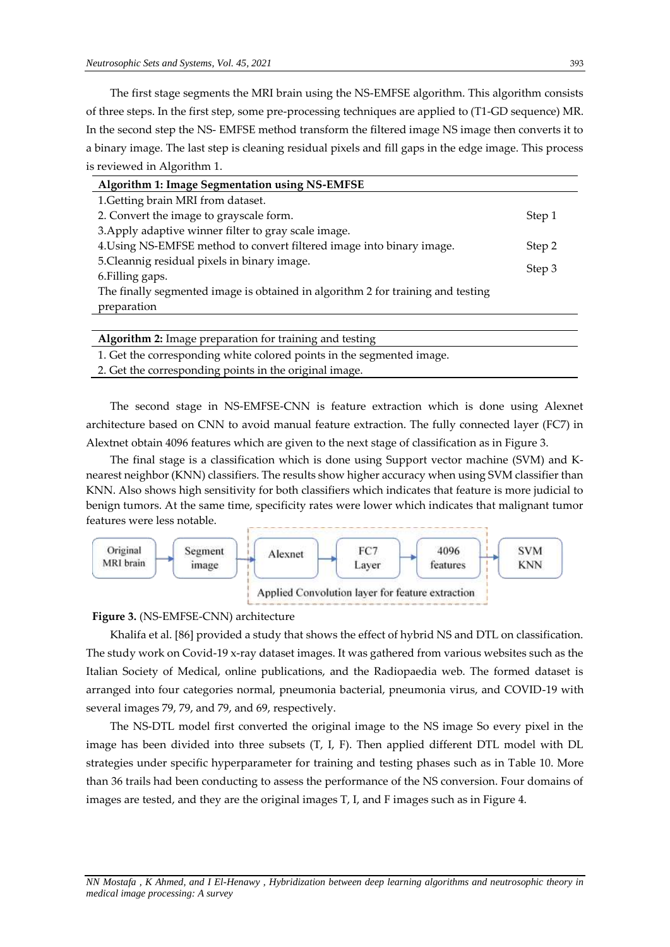The first stage segments the MRI brain using the NS-EMFSE algorithm. This algorithm consists of three steps. In the first step, some pre-processing techniques are applied to (T1-GD sequence) MR. In the second step the NS- EMFSE method transform the filtered image NS image then converts it to a binary image. The last step is cleaning residual pixels and fill gaps in the edge image. This process is reviewed in Algorithm 1.

| Algorithm 1: Image Segmentation using NS-EMFSE                                  |        |
|---------------------------------------------------------------------------------|--------|
| 1. Getting brain MRI from dataset.                                              |        |
| 2. Convert the image to grayscale form.                                         | Step 1 |
| 3. Apply adaptive winner filter to gray scale image.                            |        |
| 4. Using NS-EMFSE method to convert filtered image into binary image.           | Step 2 |
| 5. Cleannig residual pixels in binary image.                                    |        |
| 6. Filling gaps.                                                                |        |
| The finally segmented image is obtained in algorithm 2 for training and testing |        |
| preparation                                                                     |        |
|                                                                                 |        |

| Algorithm 2: Image preparation for training and testing               |
|-----------------------------------------------------------------------|
| 1. Get the corresponding white colored points in the segmented image. |
| 2. Get the corresponding points in the original image.                |
|                                                                       |

The second stage in NS-EMFSE-CNN is feature extraction which is done using Alexnet architecture based on CNN to avoid manual feature extraction. The fully connected layer (FC7) in Alextnet obtain 4096 features which are given to the next stage of classification as in Figure 3.

The final stage is a classification which is done using Support vector machine (SVM) and Knearest neighbor (KNN) classifiers. The results show higher accuracy when using SVM classifier than KNN. Also shows high sensitivity for both classifiers which indicates that feature is more judicial to benign tumors. At the same time, specificity rates were lower which indicates that malignant tumor features were less notable.



**Figure 3.** (NS-EMFSE-CNN) architecture

Khalifa et al. [86] provided a study that shows the effect of hybrid NS and DTL on classification. The study work on Covid-19 x-ray dataset images. It was gathered from various websites such as the Italian Society of Medical, online publications, and the Radiopaedia web. The formed dataset is arranged into four categories normal, pneumonia bacterial, pneumonia virus, and COVID-19 with several images 79, 79, and 79, and 69, respectively.

The NS-DTL model first converted the original image to the NS image So every pixel in the image has been divided into three subsets (T, I, F). Then applied different DTL model with DL strategies under specific hyperparameter for training and testing phases such as in Table 10. More than 36 trails had been conducting to assess the performance of the NS conversion. Four domains of images are tested, and they are the original images T, I, and F images such as in Figure 4.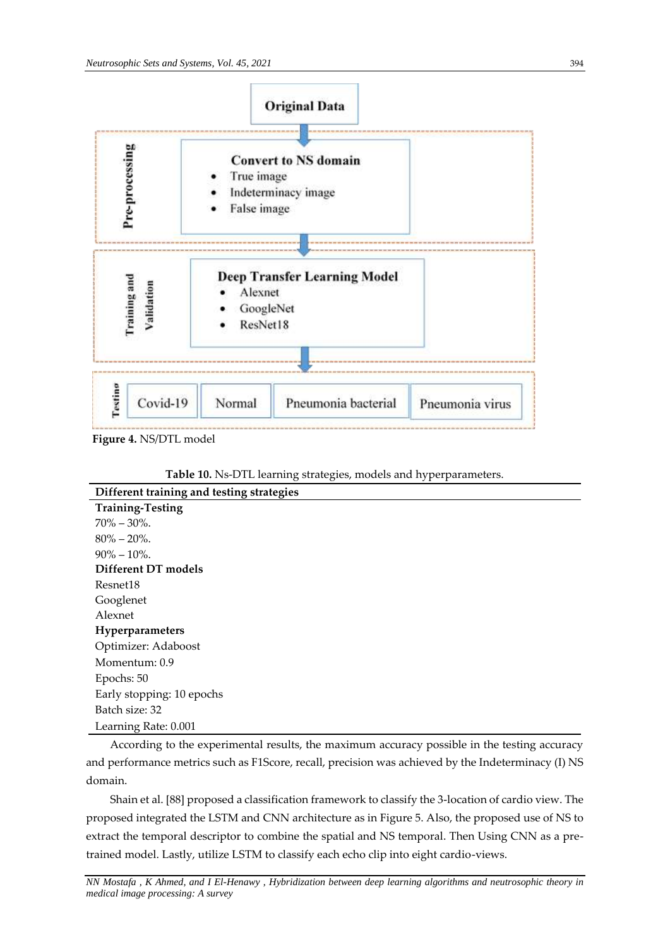

**Figure 4.** NS/DTL model

**Table 10.** Ns-DTL learning strategies, models and hyperparameters.

| Different training and testing strategies                                                    |
|----------------------------------------------------------------------------------------------|
| <b>Training-Testing</b>                                                                      |
| $70\% - 30\%$ .                                                                              |
| $80\% - 20\%$ .                                                                              |
| $90\% - 10\%$ .                                                                              |
| Different DT models                                                                          |
| Resnet18                                                                                     |
| Googlenet                                                                                    |
| Alexnet                                                                                      |
| Hyperparameters                                                                              |
| Optimizer: Adaboost                                                                          |
| Momentum: 0.9                                                                                |
| Epochs: 50                                                                                   |
| Early stopping: 10 epochs                                                                    |
| Batch size: 32                                                                               |
| Learning Rate: 0.001                                                                         |
| According to the experimental results, the maximum accuracy possible in the testing accuracy |

According to the experimental results, the maximum accuracy possible in the testing accuracy and performance metrics such as F1Score, recall, precision was achieved by the Indeterminacy (I) NS domain.

Shain et al. [88] proposed a classification framework to classify the 3-location of cardio view. The proposed integrated the LSTM and CNN architecture as in Figure 5. Also, the proposed use of NS to extract the temporal descriptor to combine the spatial and NS temporal. Then Using CNN as a pretrained model. Lastly, utilize LSTM to classify each echo clip into eight cardio-views.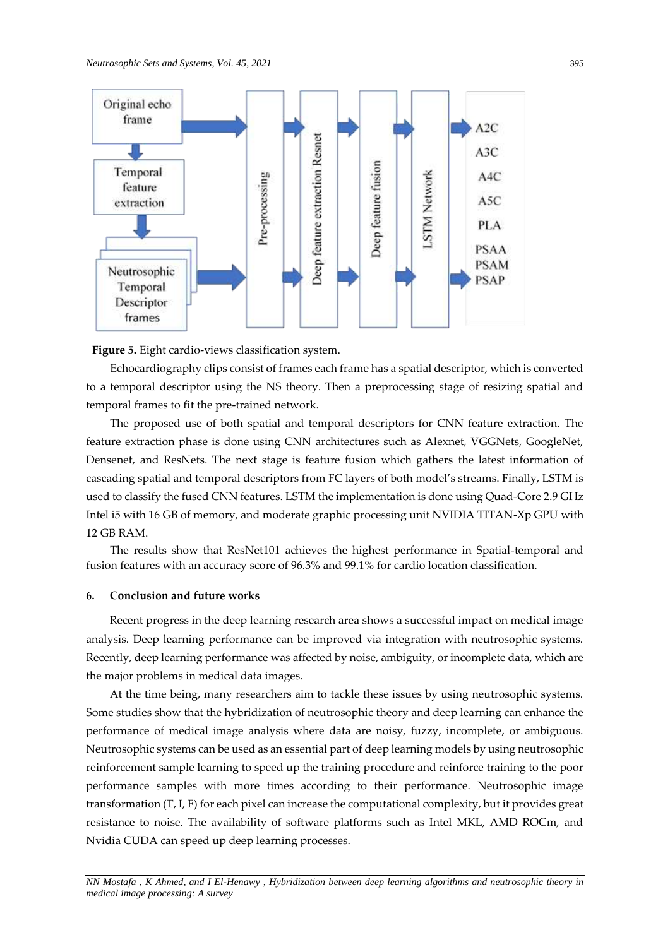

**Figure 5.** Eight cardio-views classification system.

Echocardiography clips consist of frames each frame has a spatial descriptor, which is converted to a temporal descriptor using the NS theory. Then a preprocessing stage of resizing spatial and temporal frames to fit the pre-trained network.

The proposed use of both spatial and temporal descriptors for CNN feature extraction. The feature extraction phase is done using CNN architectures such as Alexnet, VGGNets, GoogleNet, Densenet, and ResNets. The next stage is feature fusion which gathers the latest information of cascading spatial and temporal descriptors from FC layers of both model's streams. Finally, LSTM is used to classify the fused CNN features. LSTM the implementation is done using Quad-Core 2.9 GHz Intel i5 with 16 GB of memory, and moderate graphic processing unit NVIDIA TITAN-Xp GPU with 12 GB RAM.

The results show that ResNet101 achieves the highest performance in Spatial-temporal and fusion features with an accuracy score of 96.3% and 99.1% for cardio location classification.

# **6. Conclusion and future works**

Recent progress in the deep learning research area shows a successful impact on medical image analysis. Deep learning performance can be improved via integration with neutrosophic systems. Recently, deep learning performance was affected by noise, ambiguity, or incomplete data, which are the major problems in medical data images.

At the time being, many researchers aim to tackle these issues by using neutrosophic systems. Some studies show that the hybridization of neutrosophic theory and deep learning can enhance the performance of medical image analysis where data are noisy, fuzzy, incomplete, or ambiguous. Neutrosophic systems can be used as an essential part of deep learning models by using neutrosophic reinforcement sample learning to speed up the training procedure and reinforce training to the poor performance samples with more times according to their performance. Neutrosophic image transformation (T, I, F) for each pixel can increase the computational complexity, but it provides great resistance to noise. The availability of software platforms such as Intel MKL, AMD ROCm, and Nvidia CUDA can speed up deep learning processes.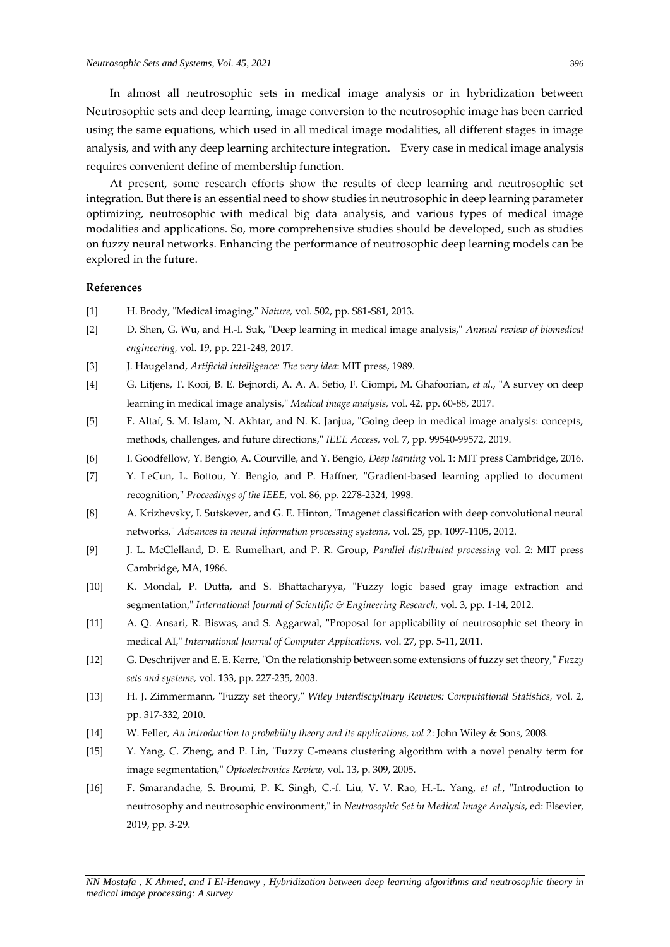In almost all neutrosophic sets in medical image analysis or in hybridization between Neutrosophic sets and deep learning, image conversion to the neutrosophic image has been carried using the same equations, which used in all medical image modalities, all different stages in image analysis, and with any deep learning architecture integration. Every case in medical image analysis requires convenient define of membership function.

At present, some research efforts show the results of deep learning and neutrosophic set integration. But there is an essential need to show studies in neutrosophic in deep learning parameter optimizing, neutrosophic with medical big data analysis, and various types of medical image modalities and applications. So, more comprehensive studies should be developed, such as studies on fuzzy neural networks. Enhancing the performance of neutrosophic deep learning models can be explored in the future.

# **References**

- [1] H. Brody, "Medical imaging," *Nature,* vol. 502, pp. S81-S81, 2013.
- [2] D. Shen, G. Wu, and H.-I. Suk, "Deep learning in medical image analysis," *Annual review of biomedical engineering,* vol. 19, pp. 221-248, 2017.
- [3] J. Haugeland, *Artificial intelligence: The very idea*: MIT press, 1989.
- [4] G. Litjens, T. Kooi, B. E. Bejnordi, A. A. A. Setio, F. Ciompi, M. Ghafoorian*, et al.*, "A survey on deep learning in medical image analysis," *Medical image analysis,* vol. 42, pp. 60-88, 2017.
- [5] F. Altaf, S. M. Islam, N. Akhtar, and N. K. Janjua, "Going deep in medical image analysis: concepts, methods, challenges, and future directions," *IEEE Access,* vol. 7, pp. 99540-99572, 2019.
- [6] I. Goodfellow, Y. Bengio, A. Courville, and Y. Bengio, *Deep learning* vol. 1: MIT press Cambridge, 2016.
- [7] Y. LeCun, L. Bottou, Y. Bengio, and P. Haffner, "Gradient-based learning applied to document recognition," *Proceedings of the IEEE,* vol. 86, pp. 2278-2324, 1998.
- [8] A. Krizhevsky, I. Sutskever, and G. E. Hinton, "Imagenet classification with deep convolutional neural networks," *Advances in neural information processing systems,* vol. 25, pp. 1097-1105, 2012.
- [9] J. L. McClelland, D. E. Rumelhart, and P. R. Group, *Parallel distributed processing* vol. 2: MIT press Cambridge, MA, 1986.
- [10] K. Mondal, P. Dutta, and S. Bhattacharyya, "Fuzzy logic based gray image extraction and segmentation," *International Journal of Scientific & Engineering Research,* vol. 3, pp. 1-14, 2012.
- [11] A. Q. Ansari, R. Biswas, and S. Aggarwal, "Proposal for applicability of neutrosophic set theory in medical AI," *International Journal of Computer Applications,* vol. 27, pp. 5-11, 2011.
- [12] G. Deschrijver and E. E. Kerre, "On the relationship between some extensions of fuzzy set theory," *Fuzzy sets and systems,* vol. 133, pp. 227-235, 2003.
- [13] H. J. Zimmermann, "Fuzzy set theory," *Wiley Interdisciplinary Reviews: Computational Statistics,* vol. 2, pp. 317-332, 2010.
- [14] W. Feller, *An introduction to probability theory and its applications, vol 2*: John Wiley & Sons, 2008.
- [15] Y. Yang, C. Zheng, and P. Lin, "Fuzzy C-means clustering algorithm with a novel penalty term for image segmentation," *Optoelectronics Review,* vol. 13, p. 309, 2005.
- [16] F. Smarandache, S. Broumi, P. K. Singh, C.-f. Liu, V. V. Rao, H.-L. Yang*, et al.*, "Introduction to neutrosophy and neutrosophic environment," in *Neutrosophic Set in Medical Image Analysis*, ed: Elsevier, 2019, pp. 3-29.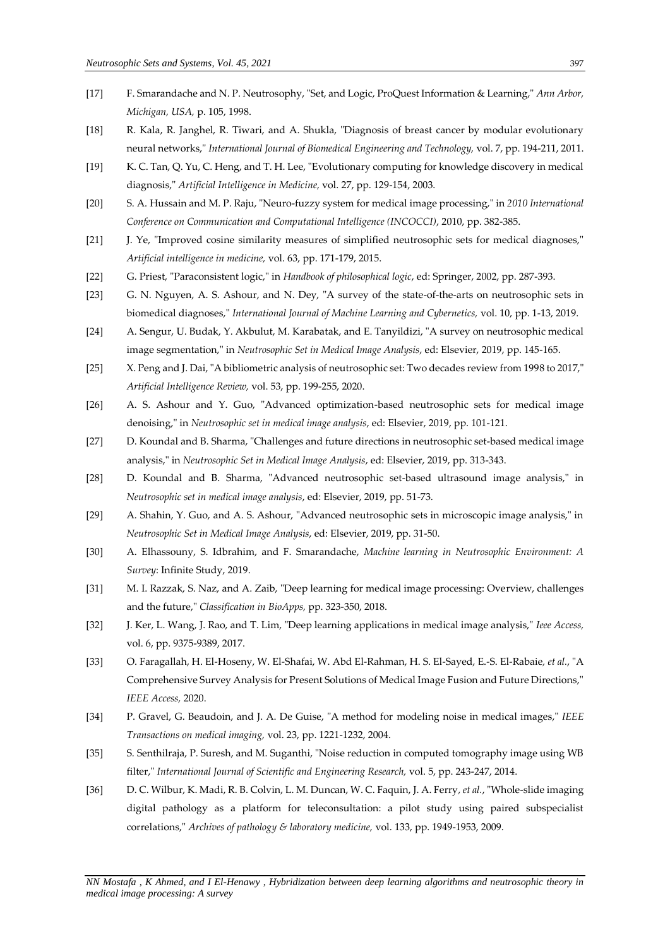- [17] F. Smarandache and N. P. Neutrosophy, "Set, and Logic, ProQuest Information & Learning," *Ann Arbor, Michigan, USA,* p. 105, 1998.
- [18] R. Kala, R. Janghel, R. Tiwari, and A. Shukla, "Diagnosis of breast cancer by modular evolutionary neural networks," *International Journal of Biomedical Engineering and Technology,* vol. 7, pp. 194-211, 2011.
- [19] K. C. Tan, Q. Yu, C. Heng, and T. H. Lee, "Evolutionary computing for knowledge discovery in medical diagnosis," *Artificial Intelligence in Medicine,* vol. 27, pp. 129-154, 2003.
- [20] S. A. Hussain and M. P. Raju, "Neuro-fuzzy system for medical image processing," in *2010 International Conference on Communication and Computational Intelligence (INCOCCI)*, 2010, pp. 382-385.
- [21] J. Ye, "Improved cosine similarity measures of simplified neutrosophic sets for medical diagnoses," *Artificial intelligence in medicine,* vol. 63, pp. 171-179, 2015.
- [22] G. Priest, "Paraconsistent logic," in *Handbook of philosophical logic*, ed: Springer, 2002, pp. 287-393.
- [23] G. N. Nguyen, A. S. Ashour, and N. Dey, "A survey of the state-of-the-arts on neutrosophic sets in biomedical diagnoses," *International Journal of Machine Learning and Cybernetics,* vol. 10, pp. 1-13, 2019.
- [24] A. Sengur, U. Budak, Y. Akbulut, M. Karabatak, and E. Tanyildizi, "A survey on neutrosophic medical image segmentation," in *Neutrosophic Set in Medical Image Analysis*, ed: Elsevier, 2019, pp. 145-165.
- [25] X. Peng and J. Dai, "A bibliometric analysis of neutrosophic set: Two decades review from 1998 to 2017," *Artificial Intelligence Review,* vol. 53, pp. 199-255, 2020.
- [26] A. S. Ashour and Y. Guo, "Advanced optimization-based neutrosophic sets for medical image denoising," in *Neutrosophic set in medical image analysis*, ed: Elsevier, 2019, pp. 101-121.
- [27] D. Koundal and B. Sharma, "Challenges and future directions in neutrosophic set-based medical image analysis," in *Neutrosophic Set in Medical Image Analysis*, ed: Elsevier, 2019, pp. 313-343.
- [28] D. Koundal and B. Sharma, "Advanced neutrosophic set-based ultrasound image analysis," in *Neutrosophic set in medical image analysis*, ed: Elsevier, 2019, pp. 51-73.
- [29] A. Shahin, Y. Guo, and A. S. Ashour, "Advanced neutrosophic sets in microscopic image analysis," in *Neutrosophic Set in Medical Image Analysis*, ed: Elsevier, 2019, pp. 31-50.
- [30] A. Elhassouny, S. Idbrahim, and F. Smarandache, *Machine learning in Neutrosophic Environment: A Survey*: Infinite Study, 2019.
- [31] M. I. Razzak, S. Naz, and A. Zaib, "Deep learning for medical image processing: Overview, challenges and the future," *Classification in BioApps,* pp. 323-350, 2018.
- [32] J. Ker, L. Wang, J. Rao, and T. Lim, "Deep learning applications in medical image analysis," *Ieee Access,*  vol. 6, pp. 9375-9389, 2017.
- [33] O. Faragallah, H. El-Hoseny, W. El-Shafai, W. Abd El-Rahman, H. S. El-Sayed, E.-S. El-Rabaie*, et al.*, "A Comprehensive Survey Analysis for Present Solutions of Medical Image Fusion and Future Directions," *IEEE Access,* 2020.
- [34] P. Gravel, G. Beaudoin, and J. A. De Guise, "A method for modeling noise in medical images," *IEEE Transactions on medical imaging,* vol. 23, pp. 1221-1232, 2004.
- [35] S. Senthilraja, P. Suresh, and M. Suganthi, "Noise reduction in computed tomography image using WB filter," *International Journal of Scientific and Engineering Research,* vol. 5, pp. 243-247, 2014.
- [36] D. C. Wilbur, K. Madi, R. B. Colvin, L. M. Duncan, W. C. Faquin, J. A. Ferry*, et al.*, "Whole-slide imaging digital pathology as a platform for teleconsultation: a pilot study using paired subspecialist correlations," *Archives of pathology & laboratory medicine,* vol. 133, pp. 1949-1953, 2009.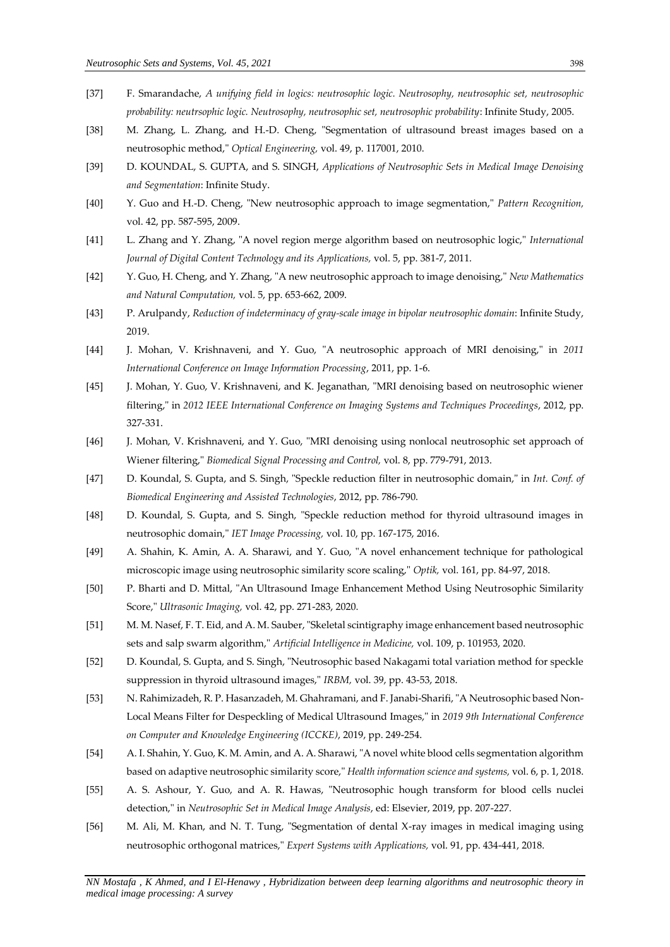- [37] F. Smarandache, *A unifying field in logics: neutrosophic logic. Neutrosophy, neutrosophic set, neutrosophic probability: neutrsophic logic. Neutrosophy, neutrosophic set, neutrosophic probability*: Infinite Study, 2005.
- [38] M. Zhang, L. Zhang, and H.-D. Cheng, "Segmentation of ultrasound breast images based on a neutrosophic method," *Optical Engineering,* vol. 49, p. 117001, 2010.
- [39] D. KOUNDAL, S. GUPTA, and S. SINGH, *Applications of Neutrosophic Sets in Medical Image Denoising and Segmentation*: Infinite Study.
- [40] Y. Guo and H.-D. Cheng, "New neutrosophic approach to image segmentation," *Pattern Recognition,*  vol. 42, pp. 587-595, 2009.
- [41] L. Zhang and Y. Zhang, "A novel region merge algorithm based on neutrosophic logic," *International Journal of Digital Content Technology and its Applications,* vol. 5, pp. 381-7, 2011.
- [42] Y. Guo, H. Cheng, and Y. Zhang, "A new neutrosophic approach to image denoising," *New Mathematics and Natural Computation,* vol. 5, pp. 653-662, 2009.
- [43] P. Arulpandy, *Reduction of indeterminacy of gray-scale image in bipolar neutrosophic domain*: Infinite Study, 2019.
- [44] J. Mohan, V. Krishnaveni, and Y. Guo, "A neutrosophic approach of MRI denoising," in *2011 International Conference on Image Information Processing*, 2011, pp. 1-6.
- [45] J. Mohan, Y. Guo, V. Krishnaveni, and K. Jeganathan, "MRI denoising based on neutrosophic wiener filtering," in *2012 IEEE International Conference on Imaging Systems and Techniques Proceedings*, 2012, pp. 327-331.
- [46] J. Mohan, V. Krishnaveni, and Y. Guo, "MRI denoising using nonlocal neutrosophic set approach of Wiener filtering," *Biomedical Signal Processing and Control,* vol. 8, pp. 779-791, 2013.
- [47] D. Koundal, S. Gupta, and S. Singh, "Speckle reduction filter in neutrosophic domain," in *Int. Conf. of Biomedical Engineering and Assisted Technologies*, 2012, pp. 786-790.
- [48] D. Koundal, S. Gupta, and S. Singh, "Speckle reduction method for thyroid ultrasound images in neutrosophic domain," *IET Image Processing,* vol. 10, pp. 167-175, 2016.
- [49] A. Shahin, K. Amin, A. A. Sharawi, and Y. Guo, "A novel enhancement technique for pathological microscopic image using neutrosophic similarity score scaling," *Optik,* vol. 161, pp. 84-97, 2018.
- [50] P. Bharti and D. Mittal, "An Ultrasound Image Enhancement Method Using Neutrosophic Similarity Score," *Ultrasonic Imaging,* vol. 42, pp. 271-283, 2020.
- [51] M. M. Nasef, F. T. Eid, and A. M. Sauber, "Skeletal scintigraphy image enhancement based neutrosophic sets and salp swarm algorithm," *Artificial Intelligence in Medicine,* vol. 109, p. 101953, 2020.
- [52] D. Koundal, S. Gupta, and S. Singh, "Neutrosophic based Nakagami total variation method for speckle suppression in thyroid ultrasound images," *IRBM,* vol. 39, pp. 43-53, 2018.
- [53] N. Rahimizadeh, R. P. Hasanzadeh, M. Ghahramani, and F. Janabi-Sharifi, "A Neutrosophic based Non-Local Means Filter for Despeckling of Medical Ultrasound Images," in *2019 9th International Conference on Computer and Knowledge Engineering (ICCKE)*, 2019, pp. 249-254.
- [54] A. I. Shahin, Y. Guo, K. M. Amin, and A. A. Sharawi, "A novel white blood cells segmentation algorithm based on adaptive neutrosophic similarity score," *Health information science and systems,* vol. 6, p. 1, 2018.
- [55] A. S. Ashour, Y. Guo, and A. R. Hawas, "Neutrosophic hough transform for blood cells nuclei detection," in *Neutrosophic Set in Medical Image Analysis*, ed: Elsevier, 2019, pp. 207-227.
- [56] M. Ali, M. Khan, and N. T. Tung, "Segmentation of dental X-ray images in medical imaging using neutrosophic orthogonal matrices," *Expert Systems with Applications,* vol. 91, pp. 434-441, 2018.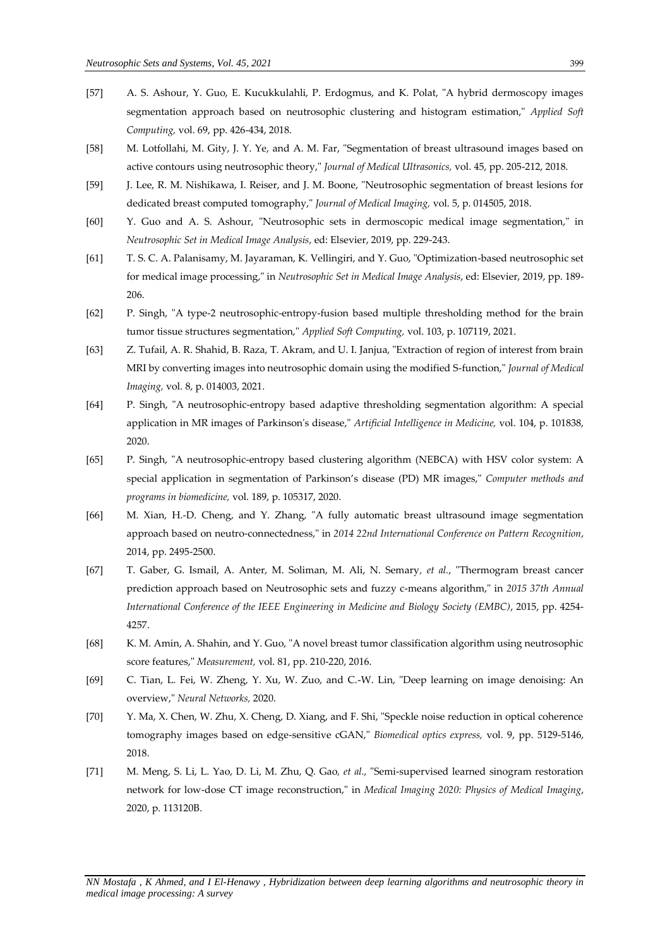- [57] A. S. Ashour, Y. Guo, E. Kucukkulahli, P. Erdogmus, and K. Polat, "A hybrid dermoscopy images segmentation approach based on neutrosophic clustering and histogram estimation," *Applied Soft Computing,* vol. 69, pp. 426-434, 2018.
- [58] M. Lotfollahi, M. Gity, J. Y. Ye, and A. M. Far, "Segmentation of breast ultrasound images based on active contours using neutrosophic theory," *Journal of Medical Ultrasonics,* vol. 45, pp. 205-212, 2018.
- [59] J. Lee, R. M. Nishikawa, I. Reiser, and J. M. Boone, "Neutrosophic segmentation of breast lesions for dedicated breast computed tomography," *Journal of Medical Imaging,* vol. 5, p. 014505, 2018.
- [60] Y. Guo and A. S. Ashour, "Neutrosophic sets in dermoscopic medical image segmentation," in *Neutrosophic Set in Medical Image Analysis*, ed: Elsevier, 2019, pp. 229-243.
- [61] T. S. C. A. Palanisamy, M. Jayaraman, K. Vellingiri, and Y. Guo, "Optimization-based neutrosophic set for medical image processing," in *Neutrosophic Set in Medical Image Analysis*, ed: Elsevier, 2019, pp. 189- 206.
- [62] P. Singh, "A type-2 neutrosophic-entropy-fusion based multiple thresholding method for the brain tumor tissue structures segmentation," *Applied Soft Computing,* vol. 103, p. 107119, 2021.
- [63] Z. Tufail, A. R. Shahid, B. Raza, T. Akram, and U. I. Janjua, "Extraction of region of interest from brain MRI by converting images into neutrosophic domain using the modified S-function," *Journal of Medical Imaging,* vol. 8, p. 014003, 2021.
- [64] P. Singh, "A neutrosophic-entropy based adaptive thresholding segmentation algorithm: A special application in MR images of Parkinson's disease," *Artificial Intelligence in Medicine,* vol. 104, p. 101838, 2020.
- [65] P. Singh, "A neutrosophic-entropy based clustering algorithm (NEBCA) with HSV color system: A special application in segmentation of Parkinson's disease (PD) MR images," *Computer methods and programs in biomedicine,* vol. 189, p. 105317, 2020.
- [66] M. Xian, H.-D. Cheng, and Y. Zhang, "A fully automatic breast ultrasound image segmentation approach based on neutro-connectedness," in *2014 22nd International Conference on Pattern Recognition*, 2014, pp. 2495-2500.
- [67] T. Gaber, G. Ismail, A. Anter, M. Soliman, M. Ali, N. Semary*, et al.*, "Thermogram breast cancer prediction approach based on Neutrosophic sets and fuzzy c-means algorithm," in *2015 37th Annual International Conference of the IEEE Engineering in Medicine and Biology Society (EMBC)*, 2015, pp. 4254- 4257.
- [68] K. M. Amin, A. Shahin, and Y. Guo, "A novel breast tumor classification algorithm using neutrosophic score features," *Measurement,* vol. 81, pp. 210-220, 2016.
- [69] C. Tian, L. Fei, W. Zheng, Y. Xu, W. Zuo, and C.-W. Lin, "Deep learning on image denoising: An overview," *Neural Networks,* 2020.
- [70] Y. Ma, X. Chen, W. Zhu, X. Cheng, D. Xiang, and F. Shi, "Speckle noise reduction in optical coherence tomography images based on edge-sensitive cGAN," *Biomedical optics express,* vol. 9, pp. 5129-5146, 2018.
- [71] M. Meng, S. Li, L. Yao, D. Li, M. Zhu, Q. Gao*, et al.*, "Semi-supervised learned sinogram restoration network for low-dose CT image reconstruction," in *Medical Imaging 2020: Physics of Medical Imaging*, 2020, p. 113120B.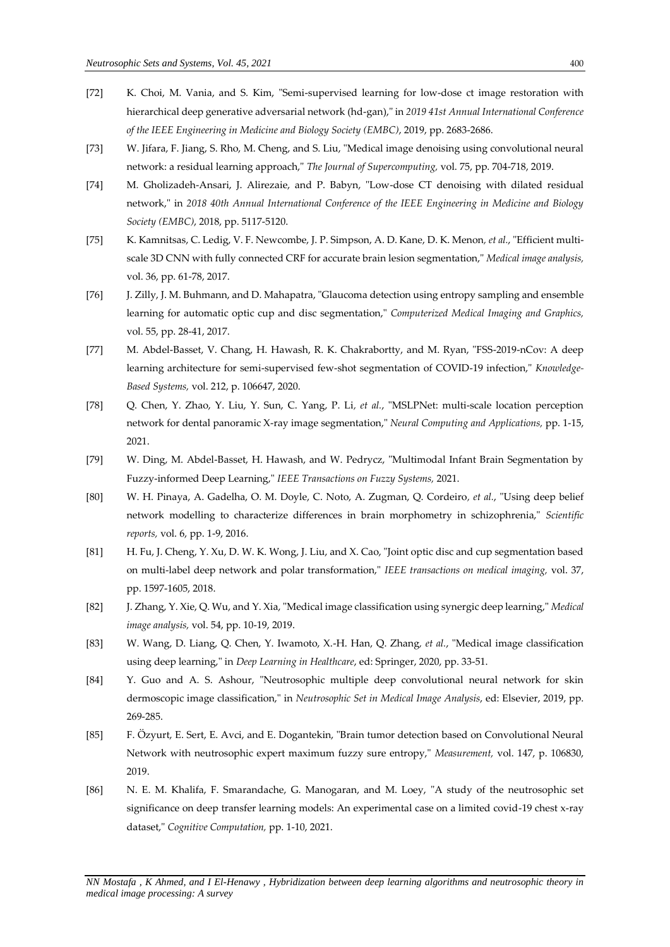- [72] K. Choi, M. Vania, and S. Kim, "Semi-supervised learning for low-dose ct image restoration with hierarchical deep generative adversarial network (hd-gan)," in *2019 41st Annual International Conference of the IEEE Engineering in Medicine and Biology Society (EMBC)*, 2019, pp. 2683-2686.
- [73] W. Jifara, F. Jiang, S. Rho, M. Cheng, and S. Liu, "Medical image denoising using convolutional neural network: a residual learning approach," *The Journal of Supercomputing,* vol. 75, pp. 704-718, 2019.
- [74] M. Gholizadeh-Ansari, J. Alirezaie, and P. Babyn, "Low-dose CT denoising with dilated residual network," in *2018 40th Annual International Conference of the IEEE Engineering in Medicine and Biology Society (EMBC)*, 2018, pp. 5117-5120.
- [75] K. Kamnitsas, C. Ledig, V. F. Newcombe, J. P. Simpson, A. D. Kane, D. K. Menon*, et al.*, "Efficient multiscale 3D CNN with fully connected CRF for accurate brain lesion segmentation," *Medical image analysis,*  vol. 36, pp. 61-78, 2017.
- [76] J. Zilly, J. M. Buhmann, and D. Mahapatra, "Glaucoma detection using entropy sampling and ensemble learning for automatic optic cup and disc segmentation," *Computerized Medical Imaging and Graphics,*  vol. 55, pp. 28-41, 2017.
- [77] M. Abdel-Basset, V. Chang, H. Hawash, R. K. Chakrabortty, and M. Ryan, "FSS-2019-nCov: A deep learning architecture for semi-supervised few-shot segmentation of COVID-19 infection," *Knowledge-Based Systems,* vol. 212, p. 106647, 2020.
- [78] Q. Chen, Y. Zhao, Y. Liu, Y. Sun, C. Yang, P. Li*, et al.*, "MSLPNet: multi-scale location perception network for dental panoramic X-ray image segmentation," *Neural Computing and Applications,* pp. 1-15, 2021.
- [79] W. Ding, M. Abdel-Basset, H. Hawash, and W. Pedrycz, "Multimodal Infant Brain Segmentation by Fuzzy-informed Deep Learning," *IEEE Transactions on Fuzzy Systems,* 2021.
- [80] W. H. Pinaya, A. Gadelha, O. M. Doyle, C. Noto, A. Zugman, Q. Cordeiro*, et al.*, "Using deep belief network modelling to characterize differences in brain morphometry in schizophrenia," *Scientific reports,* vol. 6, pp. 1-9, 2016.
- [81] H. Fu, J. Cheng, Y. Xu, D. W. K. Wong, J. Liu, and X. Cao, "Joint optic disc and cup segmentation based on multi-label deep network and polar transformation," *IEEE transactions on medical imaging,* vol. 37, pp. 1597-1605, 2018.
- [82] J. Zhang, Y. Xie, Q. Wu, and Y. Xia, "Medical image classification using synergic deep learning," *Medical image analysis,* vol. 54, pp. 10-19, 2019.
- [83] W. Wang, D. Liang, Q. Chen, Y. Iwamoto, X.-H. Han, Q. Zhang*, et al.*, "Medical image classification using deep learning," in *Deep Learning in Healthcare*, ed: Springer, 2020, pp. 33-51.
- [84] Y. Guo and A. S. Ashour, "Neutrosophic multiple deep convolutional neural network for skin dermoscopic image classification," in *Neutrosophic Set in Medical Image Analysis*, ed: Elsevier, 2019, pp. 269-285.
- [85] F. Özyurt, E. Sert, E. Avci, and E. Dogantekin, "Brain tumor detection based on Convolutional Neural Network with neutrosophic expert maximum fuzzy sure entropy," *Measurement,* vol. 147, p. 106830, 2019.
- [86] N. E. M. Khalifa, F. Smarandache, G. Manogaran, and M. Loey, "A study of the neutrosophic set significance on deep transfer learning models: An experimental case on a limited covid-19 chest x-ray dataset," *Cognitive Computation,* pp. 1-10, 2021.